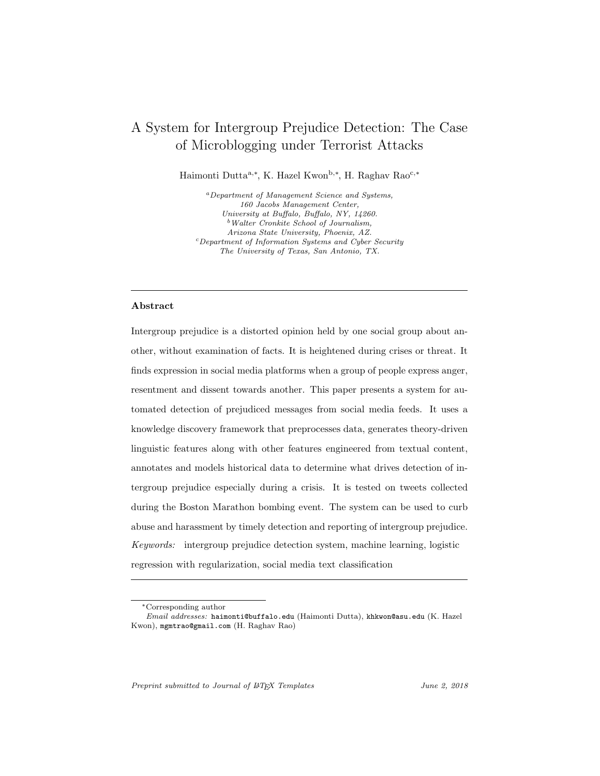# <span id="page-0-0"></span>A System for Intergroup Prejudice Detection: The Case of Microblogging under Terrorist Attacks

Haimonti Dutta<sup>a,\*</sup>, K. Hazel Kwon<sup>b,\*</sup>, H. Raghav Rao<sup>c,\*</sup>

<sup>a</sup>Department of Management Science and Systems, 160 Jacobs Management Center, University at Buffalo, Buffalo, NY, 14260. <sup>b</sup>Walter Cronkite School of Journalism, Arizona State University, Phoenix, AZ. <sup>c</sup>Department of Information Systems and Cyber Security The University of Texas, San Antonio, TX.

# Abstract

Intergroup prejudice is a distorted opinion held by one social group about another, without examination of facts. It is heightened during crises or threat. It finds expression in social media platforms when a group of people express anger, resentment and dissent towards another. This paper presents a system for automated detection of prejudiced messages from social media feeds. It uses a knowledge discovery framework that preprocesses data, generates theory-driven linguistic features along with other features engineered from textual content, annotates and models historical data to determine what drives detection of intergroup prejudice especially during a crisis. It is tested on tweets collected during the Boston Marathon bombing event. The system can be used to curb abuse and harassment by timely detection and reporting of intergroup prejudice. Keywords: intergroup prejudice detection system, machine learning, logistic regression with regularization, social media text classification

Preprint submitted to Journal of LATEX Templates June 2, 2018

<sup>∗</sup>Corresponding author

Email addresses: haimonti@buffalo.edu (Haimonti Dutta), khkwon@asu.edu (K. Hazel Kwon), mgmtrao@gmail.com (H. Raghav Rao)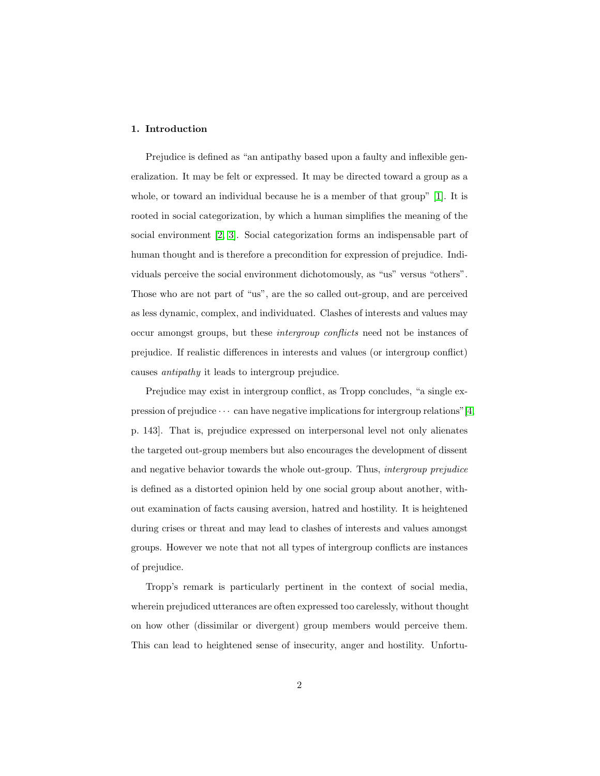## 1. Introduction

Prejudice is defined as "an antipathy based upon a faulty and inflexible generalization. It may be felt or expressed. It may be directed toward a group as a whole, or toward an individual because he is a member of that group" [\[1\]](#page-25-0). It is rooted in social categorization, by which a human simplifies the meaning of the social environment [\[2,](#page-25-1) [3\]](#page-25-2). Social categorization forms an indispensable part of human thought and is therefore a precondition for expression of prejudice. Individuals perceive the social environment dichotomously, as "us" versus "others". Those who are not part of "us", are the so called out-group, and are perceived as less dynamic, complex, and individuated. Clashes of interests and values may occur amongst groups, but these intergroup conflicts need not be instances of prejudice. If realistic differences in interests and values (or intergroup conflict) causes antipathy it leads to intergroup prejudice.

Prejudice may exist in intergroup conflict, as Tropp concludes, "a single expression of prejudice  $\cdots$  can have negative implications for intergroup relations" [\[4,](#page-26-0) p. 143]. That is, prejudice expressed on interpersonal level not only alienates the targeted out-group members but also encourages the development of dissent and negative behavior towards the whole out-group. Thus, intergroup prejudice is defined as a distorted opinion held by one social group about another, without examination of facts causing aversion, hatred and hostility. It is heightened during crises or threat and may lead to clashes of interests and values amongst groups. However we note that not all types of intergroup conflicts are instances of prejudice.

Tropp's remark is particularly pertinent in the context of social media, wherein prejudiced utterances are often expressed too carelessly, without thought on how other (dissimilar or divergent) group members would perceive them. This can lead to heightened sense of insecurity, anger and hostility. Unfortu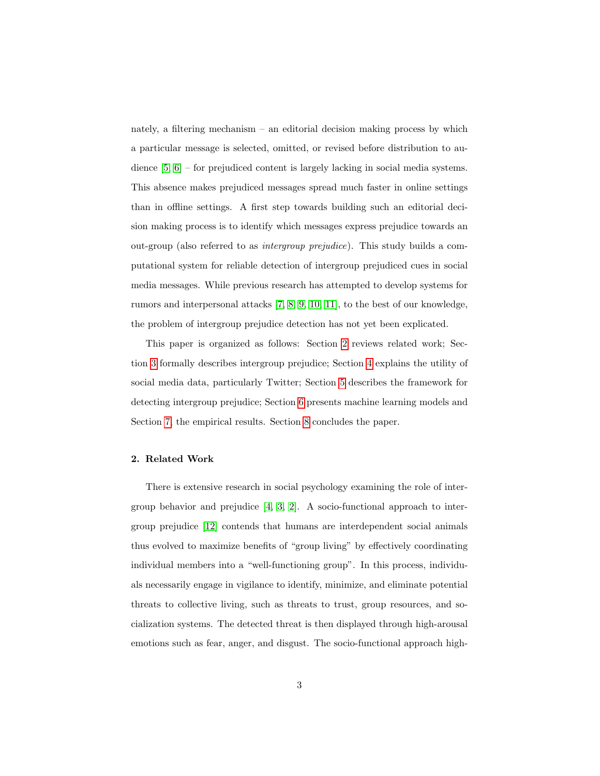nately, a filtering mechanism – an editorial decision making process by which a particular message is selected, omitted, or revised before distribution to audience [\[5,](#page-26-1) [6\]](#page-26-2) – for prejudiced content is largely lacking in social media systems. This absence makes prejudiced messages spread much faster in online settings than in offline settings. A first step towards building such an editorial decision making process is to identify which messages express prejudice towards an out-group (also referred to as intergroup prejudice). This study builds a computational system for reliable detection of intergroup prejudiced cues in social media messages. While previous research has attempted to develop systems for rumors and interpersonal attacks [\[7,](#page-26-3) [8,](#page-26-4) [9,](#page-26-5) [10,](#page-26-6) [11\]](#page-26-7), to the best of our knowledge, the problem of intergroup prejudice detection has not yet been explicated.

This paper is organized as follows: Section [2](#page-2-0) reviews related work; Section [3](#page-5-0) formally describes intergroup prejudice; Section [4](#page-7-0) explains the utility of social media data, particularly Twitter; Section [5](#page-9-0) describes the framework for detecting intergroup prejudice; Section [6](#page-16-0) presents machine learning models and Section [7,](#page-18-0) the empirical results. Section [8](#page-23-0) concludes the paper.

#### <span id="page-2-0"></span>2. Related Work

There is extensive research in social psychology examining the role of intergroup behavior and prejudice [\[4,](#page-26-0) [3,](#page-25-2) [2\]](#page-25-1). A socio-functional approach to intergroup prejudice [\[12\]](#page-27-0) contends that humans are interdependent social animals thus evolved to maximize benefits of "group living" by effectively coordinating individual members into a "well-functioning group". In this process, individuals necessarily engage in vigilance to identify, minimize, and eliminate potential threats to collective living, such as threats to trust, group resources, and socialization systems. The detected threat is then displayed through high-arousal emotions such as fear, anger, and disgust. The socio-functional approach high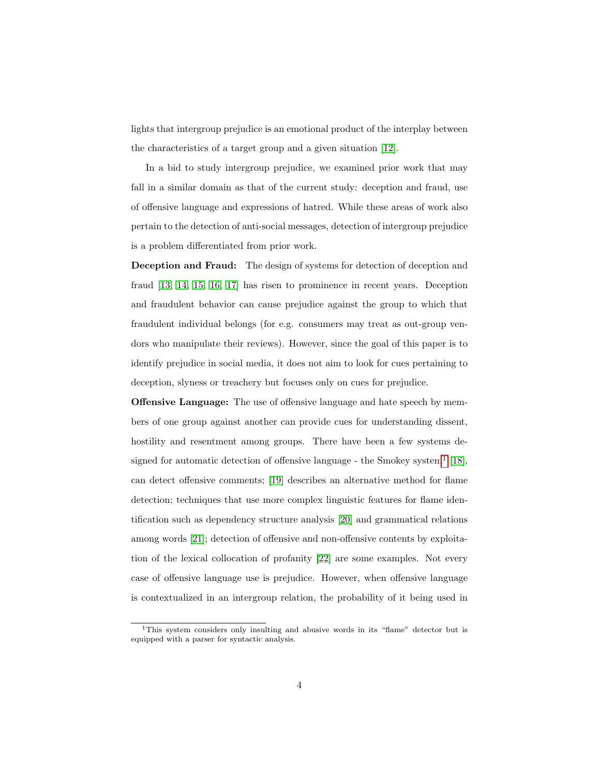lights that intergroup prejudice is an emotional product of the interplay between the characteristics of a target group and a given situation [\[12\]](#page-27-0).

In a bid to study intergroup prejudice, we examined prior work that may fall in a similar domain as that of the current study: deception and fraud, use of offensive language and expressions of hatred. While these areas of work also pertain to the detection of anti-social messages, detection of intergroup prejudice is a problem differentiated from prior work.

Deception and Fraud: The design of systems for detection of deception and fraud [\[13,](#page-27-1) [14,](#page-27-2) [15,](#page-27-3) [16,](#page-27-4) [17\]](#page-27-5) has risen to prominence in recent years. Deception and fraudulent behavior can cause prejudice against the group to which that fraudulent individual belongs (for e.g. consumers may treat as out-group vendors who manipulate their reviews). However, since the goal of this paper is to identify prejudice in social media, it does not aim to look for cues pertaining to deception, slyness or treachery but focuses only on cues for prejudice.

Offensive Language: The use of offensive language and hate speech by members of one group against another can provide cues for understanding dissent, hostility and resentment among groups. There have been a few systems de-signed for automatic detection of offensive language - the Smokey system<sup>[1](#page-0-0)</sup> [\[18\]](#page-27-6), can detect offensive comments; [\[19\]](#page-27-7) describes an alternative method for flame detection; techniques that use more complex linguistic features for flame identification such as dependency structure analysis [\[20\]](#page-27-8) and grammatical relations among words [\[21\]](#page-27-9); detection of offensive and non-offensive contents by exploitation of the lexical collocation of profanity [\[22\]](#page-28-0) are some examples. Not every case of offensive language use is prejudice. However, when offensive language is contextualized in an intergroup relation, the probability of it being used in

<sup>1</sup>This system considers only insulting and abusive words in its "flame" detector but is equipped with a parser for syntactic analysis.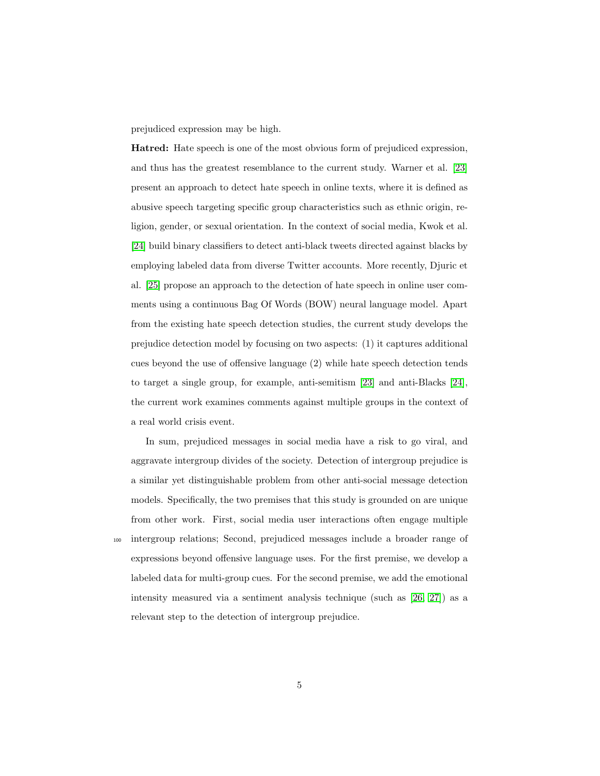prejudiced expression may be high.

Hatred: Hate speech is one of the most obvious form of prejudiced expression, and thus has the greatest resemblance to the current study. Warner et al. [\[23\]](#page-28-1) present an approach to detect hate speech in online texts, where it is defined as abusive speech targeting specific group characteristics such as ethnic origin, religion, gender, or sexual orientation. In the context of social media, Kwok et al. [\[24\]](#page-28-2) build binary classifiers to detect anti-black tweets directed against blacks by employing labeled data from diverse Twitter accounts. More recently, Djuric et al. [\[25\]](#page-28-3) propose an approach to the detection of hate speech in online user comments using a continuous Bag Of Words (BOW) neural language model. Apart from the existing hate speech detection studies, the current study develops the prejudice detection model by focusing on two aspects: (1) it captures additional cues beyond the use of offensive language (2) while hate speech detection tends to target a single group, for example, anti-semitism [\[23\]](#page-28-1) and anti-Blacks [\[24\]](#page-28-2), the current work examines comments against multiple groups in the context of a real world crisis event.

In sum, prejudiced messages in social media have a risk to go viral, and aggravate intergroup divides of the society. Detection of intergroup prejudice is a similar yet distinguishable problem from other anti-social message detection models. Specifically, the two premises that this study is grounded on are unique from other work. First, social media user interactions often engage multiple <sup>100</sup> intergroup relations; Second, prejudiced messages include a broader range of expressions beyond offensive language uses. For the first premise, we develop a labeled data for multi-group cues. For the second premise, we add the emotional intensity measured via a sentiment analysis technique (such as [\[26,](#page-28-4) [27\]](#page-28-5)) as a relevant step to the detection of intergroup prejudice.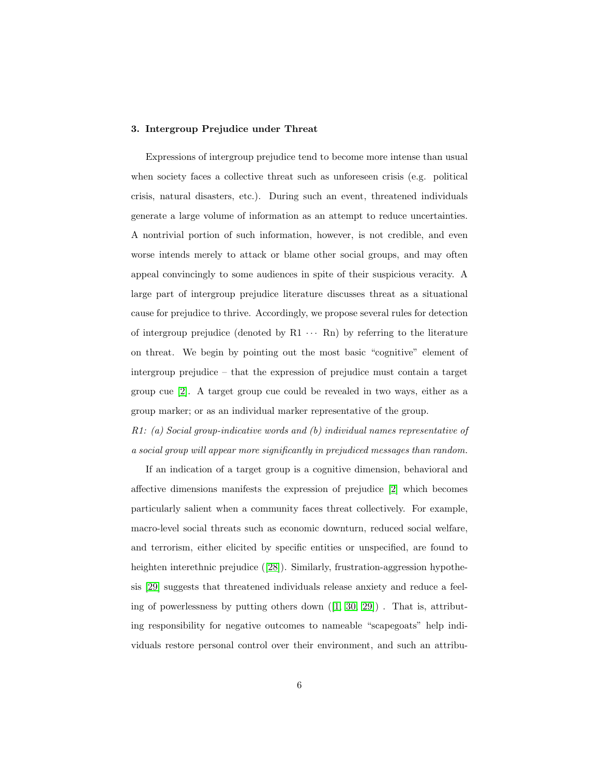## <span id="page-5-0"></span>3. Intergroup Prejudice under Threat

Expressions of intergroup prejudice tend to become more intense than usual when society faces a collective threat such as unforeseen crisis (e.g. political crisis, natural disasters, etc.). During such an event, threatened individuals generate a large volume of information as an attempt to reduce uncertainties. A nontrivial portion of such information, however, is not credible, and even worse intends merely to attack or blame other social groups, and may often appeal convincingly to some audiences in spite of their suspicious veracity. A large part of intergroup prejudice literature discusses threat as a situational cause for prejudice to thrive. Accordingly, we propose several rules for detection of intergroup prejudice (denoted by  $R1 \cdots Rn$ ) by referring to the literature on threat. We begin by pointing out the most basic "cognitive" element of intergroup prejudice – that the expression of prejudice must contain a target group cue [\[2\]](#page-25-1). A target group cue could be revealed in two ways, either as a group marker; or as an individual marker representative of the group.

R1: (a) Social group-indicative words and (b) individual names representative of a social group will appear more significantly in prejudiced messages than random.

If an indication of a target group is a cognitive dimension, behavioral and affective dimensions manifests the expression of prejudice [\[2\]](#page-25-1) which becomes particularly salient when a community faces threat collectively. For example, macro-level social threats such as economic downturn, reduced social welfare, and terrorism, either elicited by specific entities or unspecified, are found to heighten interethnic prejudice ([\[28\]](#page-28-6)). Similarly, frustration-aggression hypothesis [\[29\]](#page-28-7) suggests that threatened individuals release anxiety and reduce a feeling of powerlessness by putting others down  $([1, 30, 29])$  $([1, 30, 29])$  $([1, 30, 29])$  $([1, 30, 29])$  $([1, 30, 29])$ . That is, attributing responsibility for negative outcomes to nameable "scapegoats" help individuals restore personal control over their environment, and such an attribu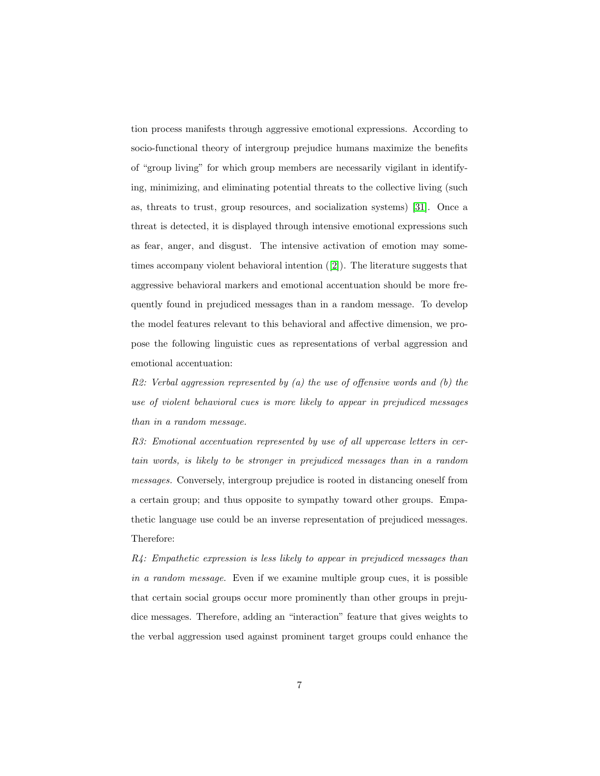tion process manifests through aggressive emotional expressions. According to socio-functional theory of intergroup prejudice humans maximize the benefits of "group living" for which group members are necessarily vigilant in identifying, minimizing, and eliminating potential threats to the collective living (such as, threats to trust, group resources, and socialization systems) [\[31\]](#page-29-1). Once a threat is detected, it is displayed through intensive emotional expressions such as fear, anger, and disgust. The intensive activation of emotion may sometimes accompany violent behavioral intention ([\[2\]](#page-25-1)). The literature suggests that aggressive behavioral markers and emotional accentuation should be more frequently found in prejudiced messages than in a random message. To develop the model features relevant to this behavioral and affective dimension, we propose the following linguistic cues as representations of verbal aggression and emotional accentuation:

 $R2$ : Verbal aggression represented by (a) the use of offensive words and (b) the use of violent behavioral cues is more likely to appear in prejudiced messages than in a random message.

R3: Emotional accentuation represented by use of all uppercase letters in certain words, is likely to be stronger in prejudiced messages than in a random messages. Conversely, intergroup prejudice is rooted in distancing oneself from a certain group; and thus opposite to sympathy toward other groups. Empathetic language use could be an inverse representation of prejudiced messages. Therefore:

 $R4$ : Empathetic expression is less likely to appear in prejudiced messages than in a random message. Even if we examine multiple group cues, it is possible that certain social groups occur more prominently than other groups in prejudice messages. Therefore, adding an "interaction" feature that gives weights to the verbal aggression used against prominent target groups could enhance the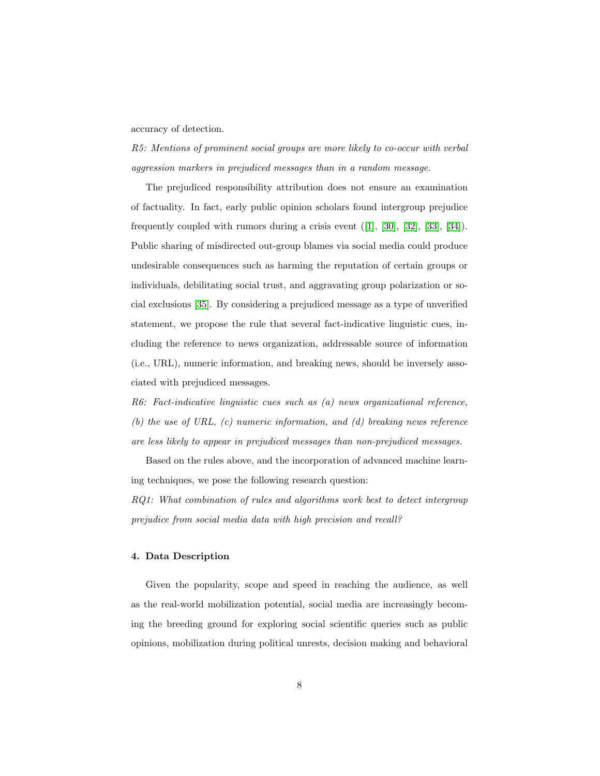accuracy of detection.

R5: Mentions of prominent social groups are more likely to co-occur with verbal aggression markers in prejudiced messages than in a random message.

The prejudiced responsibility attribution does not ensure an examination of factuality. In fact, early public opinion scholars found intergroup prejudice frequently coupled with rumors during a crisis event  $([1], [30], [32], [33], [34])$  $([1], [30], [32], [33], [34])$  $([1], [30], [32], [33], [34])$  $([1], [30], [32], [33], [34])$  $([1], [30], [32], [33], [34])$  $([1], [30], [32], [33], [34])$  $([1], [30], [32], [33], [34])$  $([1], [30], [32], [33], [34])$  $([1], [30], [32], [33], [34])$  $([1], [30], [32], [33], [34])$  $([1], [30], [32], [33], [34])$ . Public sharing of misdirected out-group blames via social media could produce undesirable consequences such as harming the reputation of certain groups or individuals, debilitating social trust, and aggravating group polarization or social exclusions [\[35\]](#page-29-5). By considering a prejudiced message as a type of unverified statement, we propose the rule that several fact-indicative linguistic cues, including the reference to news organization, addressable source of information (i.e., URL), numeric information, and breaking news, should be inversely associated with prejudiced messages.

 $R6:$  Fact-indicative linguistic cues such as  $(a)$  news organizational reference, (b) the use of URL,  $(c)$  numeric information, and  $(d)$  breaking news reference are less likely to appear in prejudiced messages than non-prejudiced messages.

Based on the rules above, and the incorporation of advanced machine learning techniques, we pose the following research question:

RQ1: What combination of rules and algorithms work best to detect intergroup prejudice from social media data with high precision and recall?

#### <span id="page-7-0"></span>4. Data Description

Given the popularity, scope and speed in reaching the audience, as well as the real-world mobilization potential, social media are increasingly becoming the breeding ground for exploring social scientific queries such as public opinions, mobilization during political unrests, decision making and behavioral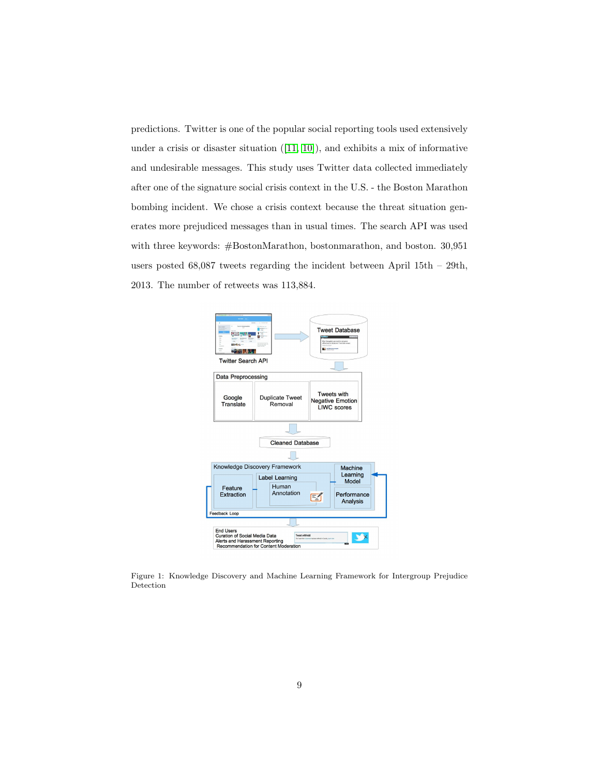predictions. Twitter is one of the popular social reporting tools used extensively under a crisis or disaster situation ([\[11,](#page-26-7) [10\]](#page-26-6)), and exhibits a mix of informative and undesirable messages. This study uses Twitter data collected immediately after one of the signature social crisis context in the U.S. - the Boston Marathon bombing incident. We chose a crisis context because the threat situation generates more prejudiced messages than in usual times. The search API was used with three keywords: #BostonMarathon, bostonmarathon, and boston. 30,951 users posted 68,087 tweets regarding the incident between April 15th – 29th, 2013. The number of retweets was 113,884.



<span id="page-8-0"></span>Figure 1: Knowledge Discovery and Machine Learning Framework for Intergroup Prejudice Detection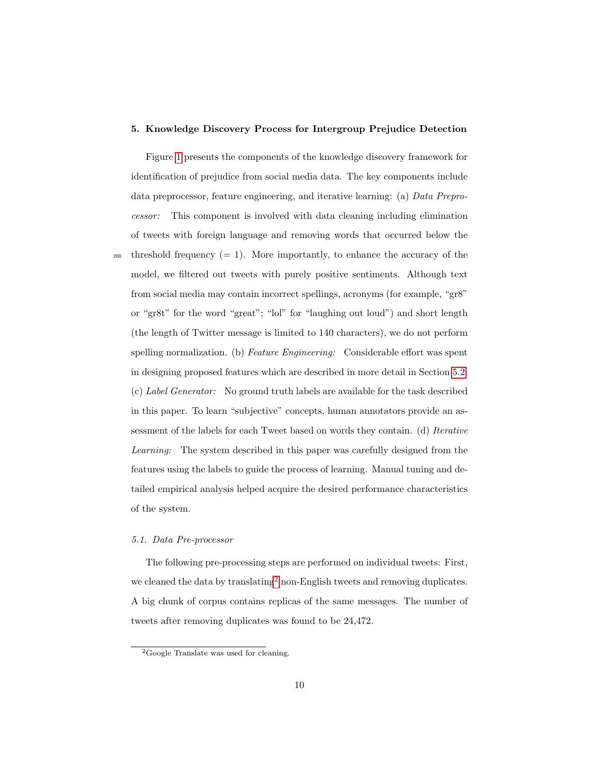#### <span id="page-9-0"></span>5. Knowledge Discovery Process for Intergroup Prejudice Detection

Figure [1](#page-8-0) presents the components of the knowledge discovery framework for identification of prejudice from social media data. The key components include data preprocessor, feature engineering, and iterative learning: (a) Data Preprocessor: This component is involved with data cleaning including elimination of tweets with foreign language and removing words that occurred below the 200 threshold frequency  $(= 1)$ . More importantly, to enhance the accuracy of the model, we filtered out tweets with purely positive sentiments. Although text from social media may contain incorrect spellings, acronyms (for example, "gr8" or "gr8t" for the word "great"; "lol" for "laughing out loud") and short length (the length of Twitter message is limited to 140 characters), we do not perform spelling normalization. (b) Feature Engineering: Considerable effort was spent in designing proposed features which are described in more detail in Section [5.2.](#page-10-0) (c) Label Generator: No ground truth labels are available for the task described in this paper. To learn "subjective" concepts, human annotators provide an assessment of the labels for each Tweet based on words they contain. (d) Iterative Learning: The system described in this paper was carefully designed from the features using the labels to guide the process of learning. Manual tuning and detailed empirical analysis helped acquire the desired performance characteristics of the system.

#### 5.1. Data Pre-processor

The following pre-processing steps are performed on individual tweets: First, we cleaned the data by translating<sup>[2](#page-0-0)</sup> non-English tweets and removing duplicates. A big chunk of corpus contains replicas of the same messages. The number of tweets after removing duplicates was found to be 24,472.

<sup>2</sup>Google Translate was used for cleaning.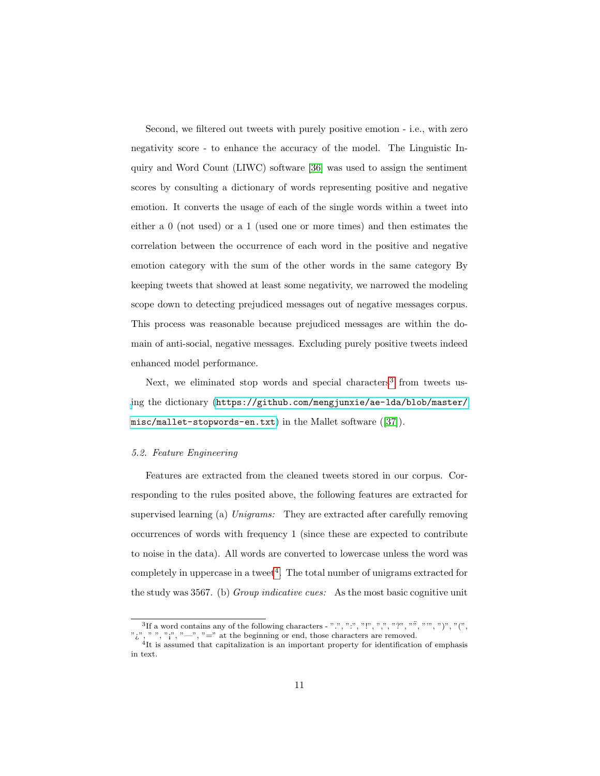Second, we filtered out tweets with purely positive emotion - i.e., with zero negativity score - to enhance the accuracy of the model. The Linguistic Inquiry and Word Count (LIWC) software [\[36\]](#page-29-6) was used to assign the sentiment scores by consulting a dictionary of words representing positive and negative emotion. It converts the usage of each of the single words within a tweet into either a 0 (not used) or a 1 (used one or more times) and then estimates the correlation between the occurrence of each word in the positive and negative emotion category with the sum of the other words in the same category By keeping tweets that showed at least some negativity, we narrowed the modeling scope down to detecting prejudiced messages out of negative messages corpus. This process was reasonable because prejudiced messages are within the domain of anti-social, negative messages. Excluding purely positive tweets indeed enhanced model performance.

Next, we eliminated stop words and special characters<sup>[3](#page-0-0)</sup> from tweets us[i](https://github.com/mengjunxie/ae-lda/blob/master/misc/mallet-stopwords-en.txt)ng the dictionary ([https://github.com/mengjunxie/ae-lda/blob/master/](https://github.com/mengjunxie/ae-lda/blob/master/misc/mallet-stopwords-en.txt) [misc/mallet-stopwords-en.txt](https://github.com/mengjunxie/ae-lda/blob/master/misc/mallet-stopwords-en.txt)) in the Mallet software ([\[37\]](#page-29-7)).

#### <span id="page-10-0"></span>5.2. Feature Engineering

Features are extracted from the cleaned tweets stored in our corpus. Corresponding to the rules posited above, the following features are extracted for supervised learning (a) Unigrams: They are extracted after carefully removing occurrences of words with frequency 1 (since these are expected to contribute to noise in the data). All words are converted to lowercase unless the word was  $completely$  in uppercase in a tweet<sup>[4](#page-0-0)</sup>. The total number of unigrams extracted for the study was 3567. (b) Group indicative cues: As the most basic cognitive unit

<sup>&</sup>lt;sup>3</sup>If a word contains any of the following characters - ".", ".", ".", ".", ",", "", "", "", ")", "(", ";", ",",",","," =" at the beginning or end, those characters are removed.<br><sup>4</sup>It is assumed that capitalization is an important property for identification of emphasis

in text.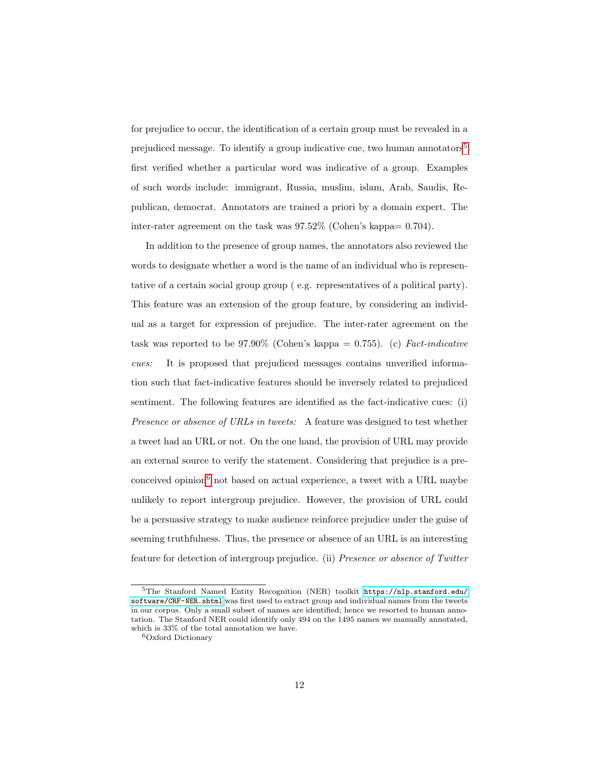for prejudice to occur, the identification of a certain group must be revealed in a prejudiced message. To identify a group indicative cue, two human annotators<sup>[5](#page-0-0)</sup> first verified whether a particular word was indicative of a group. Examples of such words include: immigrant, Russia, muslim, islam, Arab, Saudis, Republican, democrat. Annotators are trained a priori by a domain expert. The inter-rater agreement on the task was 97.52% (Cohen's kappa= 0.704).

In addition to the presence of group names, the annotators also reviewed the words to designate whether a word is the name of an individual who is representative of a certain social group group ( e.g. representatives of a political party). This feature was an extension of the group feature, by considering an individual as a target for expression of prejudice. The inter-rater agreement on the task was reported to be  $97.90\%$  (Cohen's kappa = 0.755). (c) Fact-indicative cues: It is proposed that prejudiced messages contains unverified information such that fact-indicative features should be inversely related to prejudiced sentiment. The following features are identified as the fact-indicative cues: (i) Presence or absence of URLs in tweets: A feature was designed to test whether a tweet had an URL or not. On the one hand, the provision of URL may provide an external source to verify the statement. Considering that prejudice is a pre-conceived opinion<sup>[6](#page-0-0)</sup> not based on actual experience, a tweet with a URL maybe unlikely to report intergroup prejudice. However, the provision of URL could be a persuasive strategy to make audience reinforce prejudice under the guise of seeming truthfulness. Thus, the presence or absence of an URL is an interesting feature for detection of intergroup prejudice. (ii) Presence or absence of Twitter

<sup>5</sup>The Stanford Named Entity Recognition (NER) toolkit [https://nlp.stanford.edu/](https://nlp.stanford.edu/software/CRF-NER.shtml) [software/CRF-NER.shtml](https://nlp.stanford.edu/software/CRF-NER.shtml) was first used to extract group and individual names from the tweets in our corpus. Only a small subset of names are identified; hence we resorted to human annotation. The Stanford NER could identify only 494 on the 1495 names we manually annotated, which is 33% of the total annotation we have.

<sup>6</sup>Oxford Dictionary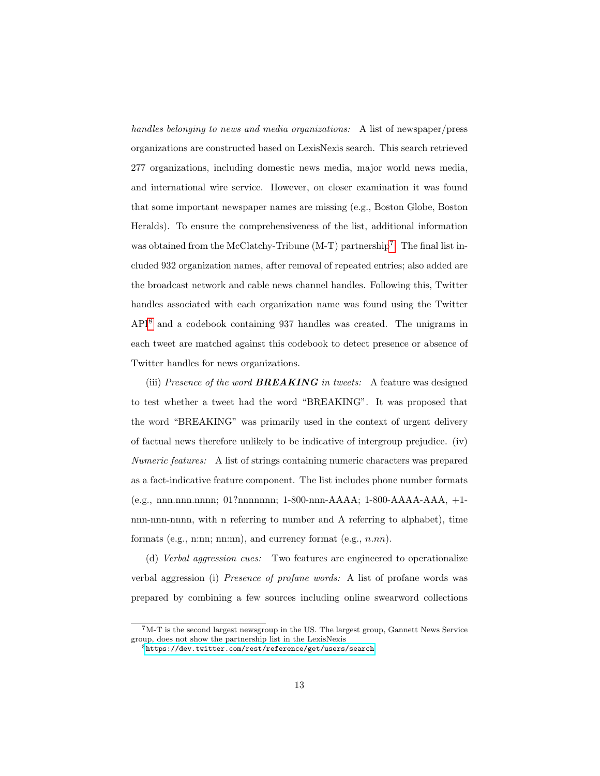handles belonging to news and media organizations: A list of newspaper/press organizations are constructed based on LexisNexis search. This search retrieved 277 organizations, including domestic news media, major world news media, and international wire service. However, on closer examination it was found that some important newspaper names are missing (e.g., Boston Globe, Boston Heralds). To ensure the comprehensiveness of the list, additional information was obtained from the McClatchy-Tribune (M-T) partnership<sup>[7](#page-0-0)</sup>. The final list included 932 organization names, after removal of repeated entries; also added are the broadcast network and cable news channel handles. Following this, Twitter handles associated with each organization name was found using the Twitter API[8](#page-0-0) and a codebook containing 937 handles was created. The unigrams in each tweet are matched against this codebook to detect presence or absence of Twitter handles for news organizations.

(iii) Presence of the word **BREAKING** in tweets: A feature was designed to test whether a tweet had the word "BREAKING". It was proposed that the word "BREAKING" was primarily used in the context of urgent delivery of factual news therefore unlikely to be indicative of intergroup prejudice. (iv) Numeric features: A list of strings containing numeric characters was prepared as a fact-indicative feature component. The list includes phone number formats (e.g., nnn.nnn.nnnn; 01?nnnnnnn; 1-800-nnn-AAAA; 1-800-AAAA-AAA, +1 nnn-nnn-nnnn, with n referring to number and A referring to alphabet), time formats (e.g., n:nn; nn:nn), and currency format (e.g.,  $n.nn$ ).

(d) Verbal aggression cues: Two features are engineered to operationalize verbal aggression (i) Presence of profane words: A list of profane words was prepared by combining a few sources including online swearword collections

 $7<sup>M-T</sup>$  is the second largest newsgroup in the US. The largest group, Gannett News Service group, does not show the partnership list in the LexisNexis

<sup>8</sup><https://dev.twitter.com/rest/reference/get/users/search>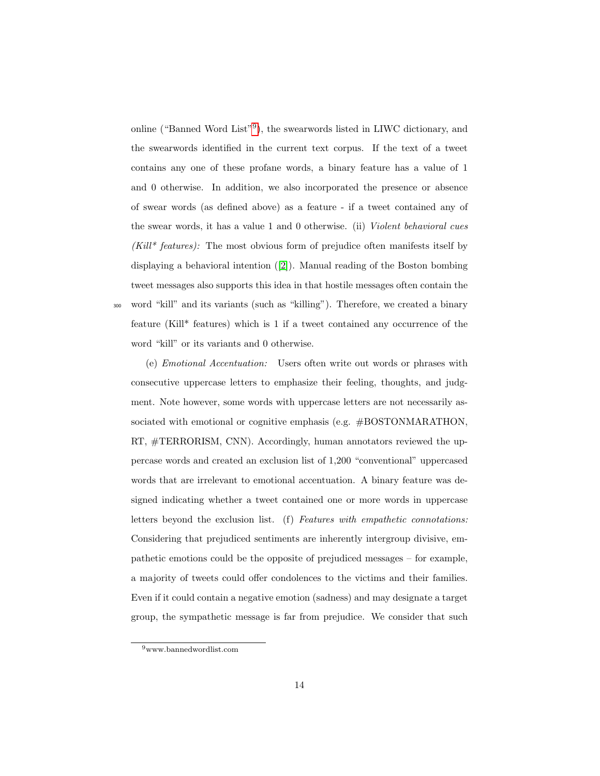online ("Banned Word List"<sup>[9](#page-0-0)</sup>), the swearwords listed in LIWC dictionary, and the swearwords identified in the current text corpus. If the text of a tweet contains any one of these profane words, a binary feature has a value of 1 and 0 otherwise. In addition, we also incorporated the presence or absence of swear words (as defined above) as a feature - if a tweet contained any of the swear words, it has a value 1 and 0 otherwise. (ii) Violent behavioral cues  $(Kill^*$  features): The most obvious form of prejudice often manifests itself by displaying a behavioral intention ([\[2\]](#page-25-1)). Manual reading of the Boston bombing tweet messages also supports this idea in that hostile messages often contain the <sup>300</sup> word "kill" and its variants (such as "killing"). Therefore, we created a binary feature (Kill\* features) which is 1 if a tweet contained any occurrence of the word "kill" or its variants and 0 otherwise.

(e) Emotional Accentuation: Users often write out words or phrases with consecutive uppercase letters to emphasize their feeling, thoughts, and judgment. Note however, some words with uppercase letters are not necessarily associated with emotional or cognitive emphasis (e.g. #BOSTONMARATHON, RT, #TERRORISM, CNN). Accordingly, human annotators reviewed the uppercase words and created an exclusion list of 1,200 "conventional" uppercased words that are irrelevant to emotional accentuation. A binary feature was designed indicating whether a tweet contained one or more words in uppercase letters beyond the exclusion list. (f) Features with empathetic connotations: Considering that prejudiced sentiments are inherently intergroup divisive, empathetic emotions could be the opposite of prejudiced messages – for example, a majority of tweets could offer condolences to the victims and their families. Even if it could contain a negative emotion (sadness) and may designate a target group, the sympathetic message is far from prejudice. We consider that such

<sup>9</sup>www.bannedwordlist.com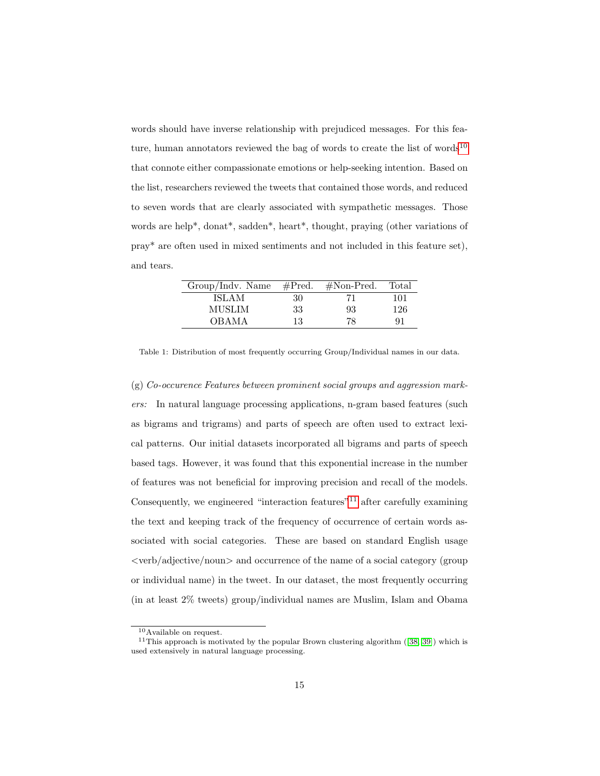words should have inverse relationship with prejudiced messages. For this fea-ture, human annotators reviewed the bag of words to create the list of words<sup>[10](#page-0-0)</sup> that connote either compassionate emotions or help-seeking intention. Based on the list, researchers reviewed the tweets that contained those words, and reduced to seven words that are clearly associated with sympathetic messages. Those words are help\*, donat\*, sadden\*, heart\*, thought, praying (other variations of pray\* are often used in mixed sentiments and not included in this feature set), and tears.

| Group/Indv. Name | $\#Pred.$ | $#Non-Pred.$ | Total |
|------------------|-----------|--------------|-------|
| <b>ISLAM</b>     | 30        | 71           | 101   |
| MUSLIM           | 33        | 93           | 126   |
| <b>OBAMA</b>     | 13        | 78           | 91    |

<span id="page-14-0"></span>Table 1: Distribution of most frequently occurring Group/Individual names in our data.

 $(g)$  Co-occurence Features between prominent social groups and aggression markers: In natural language processing applications, n-gram based features (such as bigrams and trigrams) and parts of speech are often used to extract lexical patterns. Our initial datasets incorporated all bigrams and parts of speech based tags. However, it was found that this exponential increase in the number of features was not beneficial for improving precision and recall of the models. Consequently, we engineered "interaction features"<sup>[11](#page-0-0)</sup> after carefully examining the text and keeping track of the frequency of occurrence of certain words associated with social categories. These are based on standard English usage <verb/adjective/noun> and occurrence of the name of a social category (group or individual name) in the tweet. In our dataset, the most frequently occurring (in at least 2% tweets) group/individual names are Muslim, Islam and Obama

<sup>10</sup>Available on request.

<sup>&</sup>lt;sup>11</sup>This approach is motivated by the popular Brown clustering algorithm  $([38, 39])$  $([38, 39])$  $([38, 39])$  $([38, 39])$  which is used extensively in natural language processing.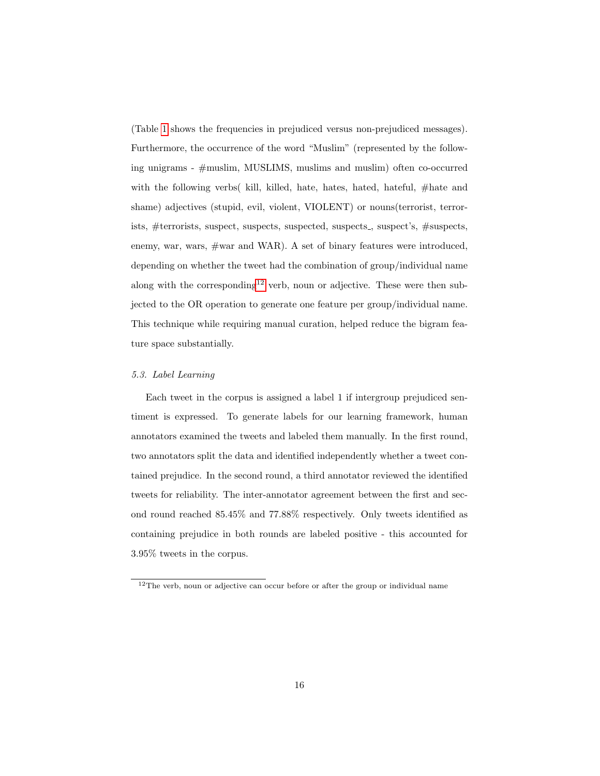(Table [1](#page-14-0) shows the frequencies in prejudiced versus non-prejudiced messages). Furthermore, the occurrence of the word "Muslim" (represented by the following unigrams - #muslim, MUSLIMS, muslims and muslim) often co-occurred with the following verbs( kill, killed, hate, hates, hated, hateful, #hate and shame) adjectives (stupid, evil, violent, VIOLENT) or nouns(terrorist, terrorists, #terrorists, suspect, suspects, suspected, suspects<sub>-</sub>, suspect's, #suspects, enemy, war, wars, #war and WAR). A set of binary features were introduced, depending on whether the tweet had the combination of group/individual name along with the corresponding<sup>[12](#page-0-0)</sup> verb, noun or adjective. These were then subjected to the OR operation to generate one feature per group/individual name. This technique while requiring manual curation, helped reduce the bigram feature space substantially.

#### 5.3. Label Learning

Each tweet in the corpus is assigned a label 1 if intergroup prejudiced sentiment is expressed. To generate labels for our learning framework, human annotators examined the tweets and labeled them manually. In the first round, two annotators split the data and identified independently whether a tweet contained prejudice. In the second round, a third annotator reviewed the identified tweets for reliability. The inter-annotator agreement between the first and second round reached 85.45% and 77.88% respectively. Only tweets identified as containing prejudice in both rounds are labeled positive - this accounted for 3.95% tweets in the corpus.

<sup>&</sup>lt;sup>12</sup>The verb, noun or adjective can occur before or after the group or individual name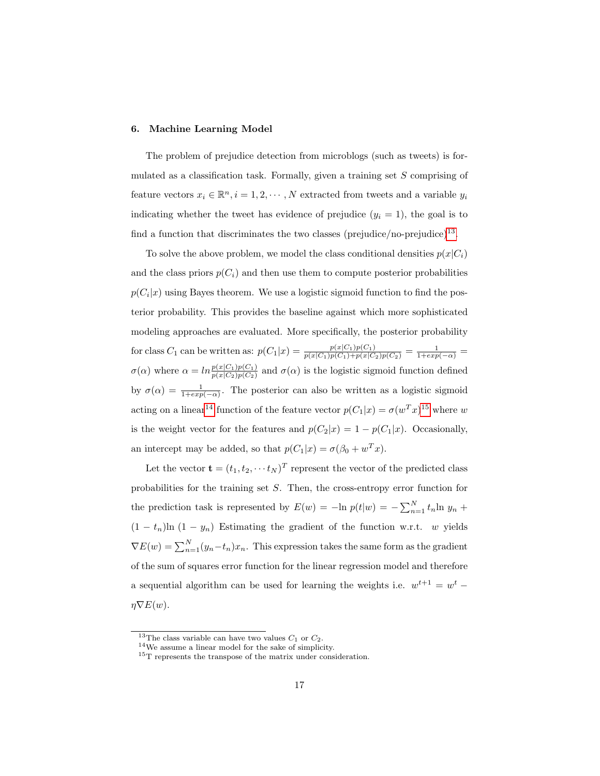#### <span id="page-16-0"></span>6. Machine Learning Model

The problem of prejudice detection from microblogs (such as tweets) is formulated as a classification task. Formally, given a training set S comprising of feature vectors  $x_i \in \mathbb{R}^n, i = 1, 2, \cdots, N$  extracted from tweets and a variable  $y_i$ indicating whether the tweet has evidence of prejudice  $(y_i = 1)$ , the goal is to find a function that discriminates the two classes (prejudice/no-prejudice)<sup>[13](#page-0-0)</sup>.

To solve the above problem, we model the class conditional densities  $p(x|C_i)$ and the class priors  $p(C_i)$  and then use them to compute posterior probabilities  $p(C_i|x)$  using Bayes theorem. We use a logistic sigmoid function to find the posterior probability. This provides the baseline against which more sophisticated modeling approaches are evaluated. More specifically, the posterior probability for class  $C_1$  can be written as:  $p(C_1|x) = \frac{p(x|C_1)p(C_1)}{p(x|C_1)p(C_1)+p(x|C_2)p(C_2)} = \frac{1}{1+exp(-\alpha)} =$  $\sigma(\alpha)$  where  $\alpha = ln \frac{p(x|C_1)p(C_1)}{p(x|C_2)p(C_2)}$  and  $\sigma(\alpha)$  is the logistic sigmoid function defined by  $\sigma(\alpha) = \frac{1}{1+exp(-\alpha)}$ . The posterior can also be written as a logistic sigmoid acting on a linear<sup>[14](#page-0-0)</sup> function of the feature vector  $p(C_1|x) = \sigma(w^T x)^{15}$  $p(C_1|x) = \sigma(w^T x)^{15}$  $p(C_1|x) = \sigma(w^T x)^{15}$  where w is the weight vector for the features and  $p(C_2|x) = 1 - p(C_1|x)$ . Occasionally, an intercept may be added, so that  $p(C_1|x) = \sigma(\beta_0 + w^T x)$ .

Let the vector  $\mathbf{t} = (t_1, t_2, \dots, t_N)^T$  represent the vector of the predicted class probabilities for the training set S. Then, the cross-entropy error function for the prediction task is represented by  $E(w) = -\ln p(t|w) = -\sum_{n=1}^{N} t_n \ln y_n +$  $(1 - t_n)$ ln  $(1 - y_n)$  Estimating the gradient of the function w.r.t. w yields  $\nabla E(w) = \sum_{n=1}^{N} (y_n - t_n)x_n$ . This expression takes the same form as the gradient of the sum of squares error function for the linear regression model and therefore a sequential algorithm can be used for learning the weights i.e.  $w^{t+1} = w^t$  $\eta \nabla E(w)$ .

<sup>&</sup>lt;sup>13</sup>The class variable can have two values  $C_1$  or  $C_2$ .

<sup>14</sup>We assume a linear model for the sake of simplicity.

 $^{15}\mathrm{T}$  represents the transpose of the matrix under consideration.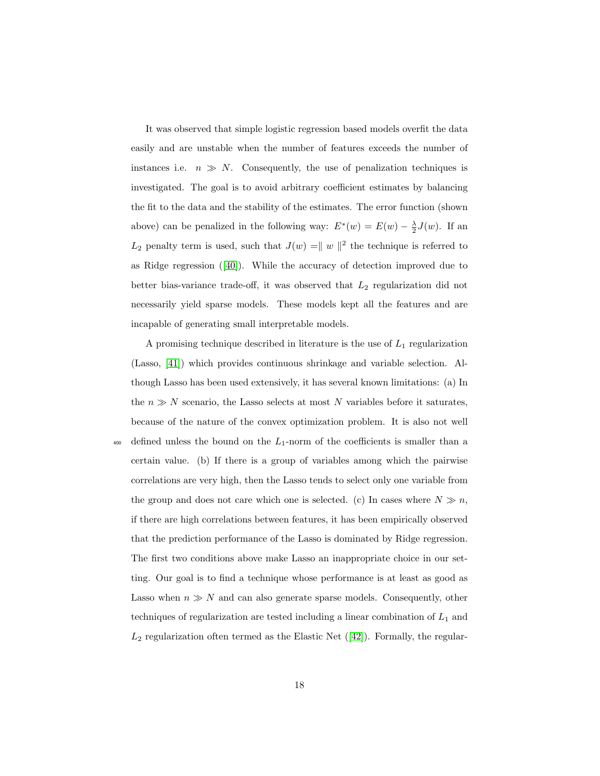It was observed that simple logistic regression based models overfit the data easily and are unstable when the number of features exceeds the number of instances i.e.  $n \gg N$ . Consequently, the use of penalization techniques is investigated. The goal is to avoid arbitrary coefficient estimates by balancing the fit to the data and the stability of the estimates. The error function (shown above) can be penalized in the following way:  $E^*(w) = E(w) - \frac{\lambda}{2}J(w)$ . If an  $L_2$  penalty term is used, such that  $J(w) = ||w||^2$  the technique is referred to as Ridge regression  $([40])$  $([40])$  $([40])$ . While the accuracy of detection improved due to better bias-variance trade-off, it was observed that  $L_2$  regularization did not necessarily yield sparse models. These models kept all the features and are incapable of generating small interpretable models.

A promising technique described in literature is the use of  $L_1$  regularization (Lasso, [\[41\]](#page-30-1)) which provides continuous shrinkage and variable selection. Although Lasso has been used extensively, it has several known limitations: (a) In the  $n \gg N$  scenario, the Lasso selects at most N variables before it saturates, because of the nature of the convex optimization problem. It is also not well  $\frac{400}{400}$  defined unless the bound on the  $L_1$ -norm of the coefficients is smaller than a certain value. (b) If there is a group of variables among which the pairwise correlations are very high, then the Lasso tends to select only one variable from the group and does not care which one is selected. (c) In cases where  $N \gg n$ , if there are high correlations between features, it has been empirically observed that the prediction performance of the Lasso is dominated by Ridge regression. The first two conditions above make Lasso an inappropriate choice in our setting. Our goal is to find a technique whose performance is at least as good as Lasso when  $n \gg N$  and can also generate sparse models. Consequently, other techniques of regularization are tested including a linear combination of  $L_1$  and  $L_2$  regularization often termed as the Elastic Net  $(42)$ . Formally, the regular-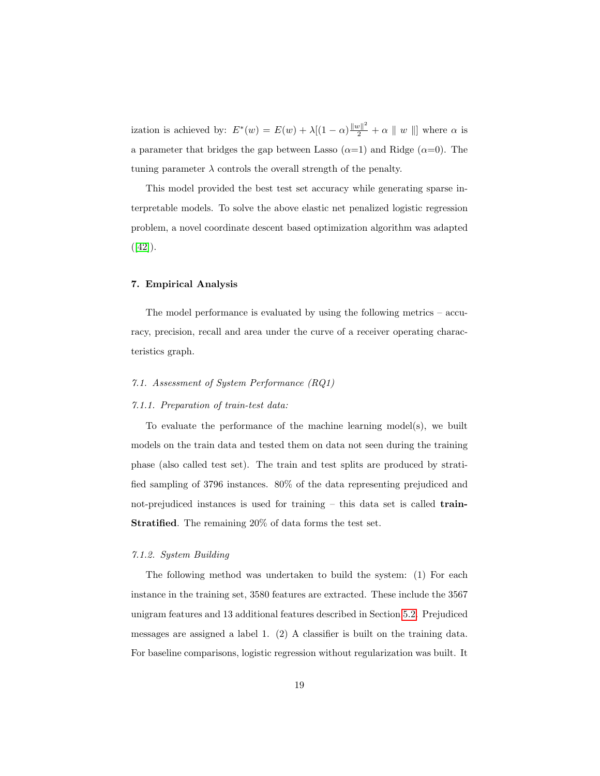ization is achieved by:  $E^*(w) = E(w) + \lambda[(1-\alpha)\frac{\|w\|^2}{2} + \alpha \|w\|]$  where  $\alpha$  is a parameter that bridges the gap between Lasso  $(\alpha=1)$  and Ridge  $(\alpha=0)$ . The tuning parameter  $\lambda$  controls the overall strength of the penalty.

This model provided the best test set accuracy while generating sparse interpretable models. To solve the above elastic net penalized logistic regression problem, a novel coordinate descent based optimization algorithm was adapted  $([42]).$  $([42]).$  $([42]).$ 

### <span id="page-18-0"></span>7. Empirical Analysis

The model performance is evaluated by using the following metrics – accuracy, precision, recall and area under the curve of a receiver operating characteristics graph.

## 7.1. Assessment of System Performance (RQ1)

#### 7.1.1. Preparation of train-test data:

To evaluate the performance of the machine learning model(s), we built models on the train data and tested them on data not seen during the training phase (also called test set). The train and test splits are produced by stratified sampling of 3796 instances. 80% of the data representing prejudiced and not-prejudiced instances is used for training  $-$  this data set is called **train-**Stratified. The remaining 20% of data forms the test set.

## 7.1.2. System Building

The following method was undertaken to build the system: (1) For each instance in the training set, 3580 features are extracted. These include the 3567 unigram features and 13 additional features described in Section [5.2.](#page-10-0) Prejudiced messages are assigned a label 1. (2) A classifier is built on the training data. For baseline comparisons, logistic regression without regularization was built. It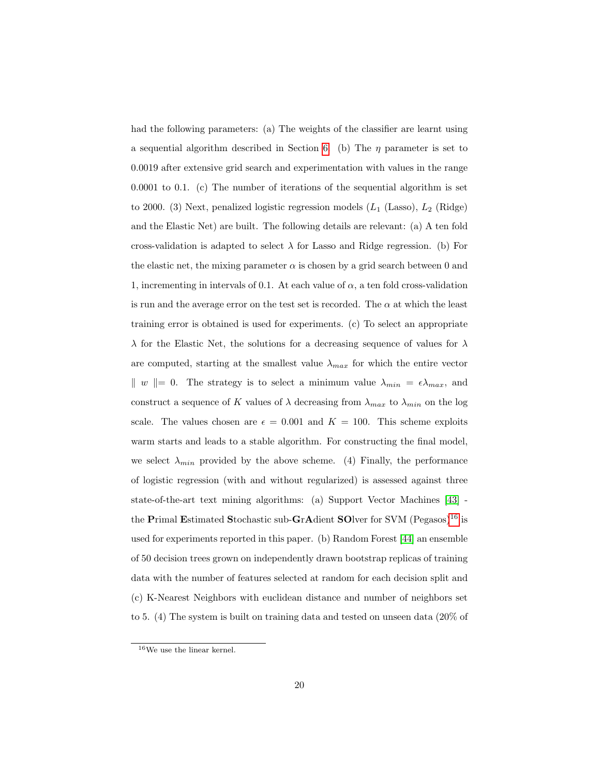had the following parameters: (a) The weights of the classifier are learnt using a sequential algorithm described in Section [6.](#page-16-0) (b) The  $\eta$  parameter is set to 0.0019 after extensive grid search and experimentation with values in the range 0.0001 to 0.1. (c) The number of iterations of the sequential algorithm is set to 2000. (3) Next, penalized logistic regression models  $(L_1 \text{ (Lasso)}, L_2 \text{ (Ridge)}$ and the Elastic Net) are built. The following details are relevant: (a) A ten fold cross-validation is adapted to select  $\lambda$  for Lasso and Ridge regression. (b) For the elastic net, the mixing parameter  $\alpha$  is chosen by a grid search between 0 and 1, incrementing in intervals of 0.1. At each value of  $\alpha$ , a ten fold cross-validation is run and the average error on the test set is recorded. The  $\alpha$  at which the least training error is obtained is used for experiments. (c) To select an appropriate  $\lambda$  for the Elastic Net, the solutions for a decreasing sequence of values for  $\lambda$ are computed, starting at the smallest value  $\lambda_{max}$  for which the entire vector  $\| w \| = 0$ . The strategy is to select a minimum value  $\lambda_{min} = \epsilon \lambda_{max}$ , and construct a sequence of K values of  $\lambda$  decreasing from  $\lambda_{max}$  to  $\lambda_{min}$  on the log scale. The values chosen are  $\epsilon = 0.001$  and  $K = 100$ . This scheme exploits warm starts and leads to a stable algorithm. For constructing the final model, we select  $\lambda_{min}$  provided by the above scheme. (4) Finally, the performance of logistic regression (with and without regularized) is assessed against three state-of-the-art text mining algorithms: (a) Support Vector Machines [\[43\]](#page-30-3) - the Primal Estimated Stochastic sub-GrAdient SOlver for SVM (Pegasos)<sup>[16](#page-0-0)</sup> is used for experiments reported in this paper. (b) Random Forest [\[44\]](#page-30-4) an ensemble of 50 decision trees grown on independently drawn bootstrap replicas of training data with the number of features selected at random for each decision split and (c) K-Nearest Neighbors with euclidean distance and number of neighbors set to 5. (4) The system is built on training data and tested on unseen data (20% of

 $^{16}\mathrm{We}$  use the linear kernel.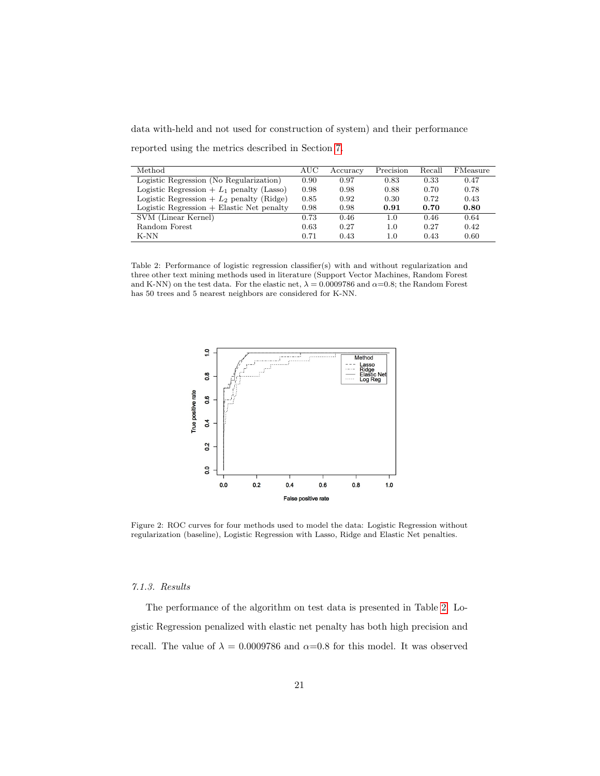data with-held and not used for construction of system) and their performance

| Method                                      | AUC  | Accuracy | Precision | Recall | FMeasure |
|---------------------------------------------|------|----------|-----------|--------|----------|
| Logistic Regression (No Regularization)     | 0.90 | 0.97     | 0.83      | 0.33   | 0.47     |
| Logistic Regression + $L_1$ penalty (Lasso) | 0.98 | 0.98     | 0.88      | 0.70   | 0.78     |
| Logistic Regression $+ L_2$ penalty (Ridge) | 0.85 | 0.92     | 0.30      | 0.72   | 0.43     |
| $Logistic Regression + Elastic Net penalty$ | 0.98 | 0.98     | 0.91      | 0.70   | 0.80     |
| SVM (Linear Kernel)                         | 0.73 | 0.46     | 1.0       | 0.46   | 0.64     |
| Random Forest                               | 0.63 | 0.27     | $1.0\,$   | 0.27   | 0.42     |
| $K-NN$                                      | 0.71 | 0.43     | 1.0       | 0.43   | 0.60     |

reported using the metrics described in Section [7.](#page-18-0)

<span id="page-20-0"></span>Table 2: Performance of logistic regression classifier(s) with and without regularization and three other text mining methods used in literature (Support Vector Machines, Random Forest and K-NN) on the test data. For the elastic net,  $\lambda = 0.0009786$  and  $\alpha = 0.8$ ; the Random Forest has 50 trees and 5 nearest neighbors are considered for K-NN.



<span id="page-20-1"></span>Figure 2: ROC curves for four methods used to model the data: Logistic Regression without regularization (baseline), Logistic Regression with Lasso, Ridge and Elastic Net penalties.

# 7.1.3. Results

The performance of the algorithm on test data is presented in Table [2.](#page-20-0) Logistic Regression penalized with elastic net penalty has both high precision and recall. The value of  $\lambda = 0.0009786$  and  $\alpha = 0.8$  for this model. It was observed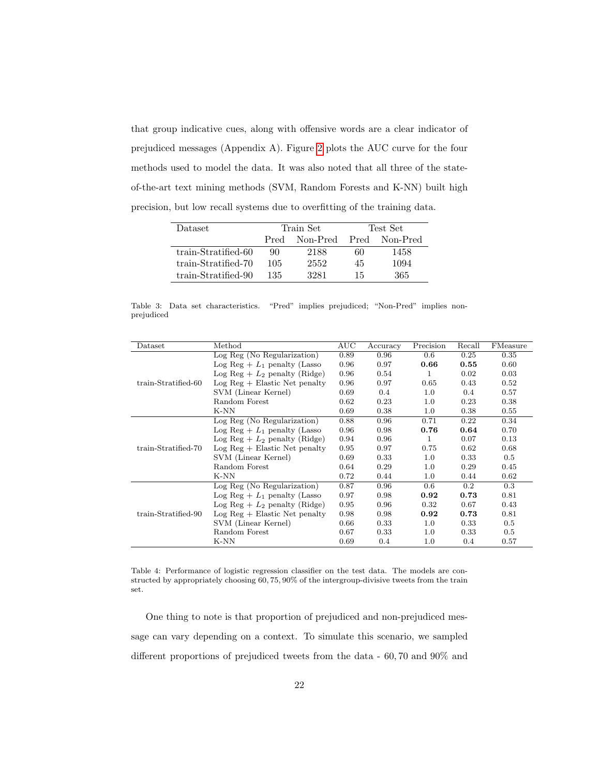that group indicative cues, along with offensive words are a clear indicator of prejudiced messages (Appendix A). Figure [2](#page-20-1) plots the AUC curve for the four methods used to model the data. It was also noted that all three of the stateof-the-art text mining methods (SVM, Random Forests and K-NN) built high precision, but low recall systems due to overfitting of the training data.

| <b>Dataset</b>      |                  | Train Set | Test Set |          |  |
|---------------------|------------------|-----------|----------|----------|--|
|                     | Non-Pred<br>Pred |           | Pred     | Non-Pred |  |
| train-Stratified-60 | 90               | 2188      | 60       | 1458     |  |
| train-Stratified-70 | 105              | 2552      | 45       | 1094     |  |
| train-Stratified-90 | 135              | 3281      | 15       | 365      |  |

<span id="page-21-0"></span>Table 3: Data set characteristics. "Pred" implies prejudiced; "Non-Pred" implies nonprejudiced

| Dataset             | Method                                | <b>AUC</b> | Accuracy | Precision | Recall  | FMeasure |
|---------------------|---------------------------------------|------------|----------|-----------|---------|----------|
|                     | Log Reg (No Regularization)           | 0.89       | 0.96     | 0.6       | 0.25    | 0.35     |
|                     | $\text{Log Reg} + L_1$ penalty (Lasso | 0.96       | 0.97     | 0.66      | 0.55    | 0.60     |
|                     | Log Reg + $L_2$ penalty (Ridge)       | 0.96       | 0.54     | 1         | 0.02    | 0.03     |
| train-Stratified-60 | $Log Reg + Elastic Net penalty$       | 0.96       | 0.97     | 0.65      | 0.43    | 0.52     |
|                     | SVM (Linear Kernel)                   | 0.69       | 0.4      | 1.0       | $0.4\,$ | 0.57     |
|                     | Random Forest                         | 0.62       | 0.23     | 1.0       | 0.23    | 0.38     |
|                     | K-NN                                  | 0.69       | 0.38     | 1.0       | 0.38    | 0.55     |
|                     | Log Reg (No Regularization)           | 0.88       | 0.96     | 0.71      | 0.22    | 0.34     |
|                     | $\text{Log Reg} + L_1$ penalty (Lasso | 0.96       | 0.98     | 0.76      | 0.64    | 0.70     |
|                     | Log Reg + $L_2$ penalty (Ridge)       | 0.94       | 0.96     | 1         | 0.07    | 0.13     |
| train-Stratified-70 | $Log Reg + Elastic Net penalty$       | 0.95       | 0.97     | 0.75      | 0.62    | 0.68     |
|                     | SVM (Linear Kernel)                   | 0.69       | 0.33     | 1.0       | 0.33    | 0.5      |
|                     | Random Forest                         | 0.64       | 0.29     | 1.0       | 0.29    | 0.45     |
|                     | K-NN                                  | 0.72       | 0.44     | 1.0       | 0.44    | 0.62     |
|                     | Log Reg (No Regularization)           | 0.87       | 0.96     | 0.6       | 0.2     | 0.3      |
|                     | Log Reg + $L_1$ penalty (Lasso        | 0.97       | 0.98     | 0.92      | 0.73    | 0.81     |
|                     | Log Reg + $L_2$ penalty (Ridge)       | 0.95       | 0.96     | 0.32      | 0.67    | 0.43     |
| train-Stratified-90 | $Log Reg + Elastic Net penalty$       | 0.98       | 0.98     | 0.92      | 0.73    | 0.81     |
|                     | SVM (Linear Kernel)                   | 0.66       | 0.33     | 1.0       | 0.33    | 0.5      |
|                     | Random Forest                         | 0.67       | 0.33     | 1.0       | 0.33    | 0.5      |
|                     | $K-NN$                                | 0.69       | 0.4      | $1.0\,$   | 0.4     | 0.57     |

<span id="page-21-1"></span>Table 4: Performance of logistic regression classifier on the test data. The models are constructed by appropriately choosing 60, 75, 90% of the intergroup-divisive tweets from the train set.

One thing to note is that proportion of prejudiced and non-prejudiced message can vary depending on a context. To simulate this scenario, we sampled different proportions of prejudiced tweets from the data - 60, 70 and 90% and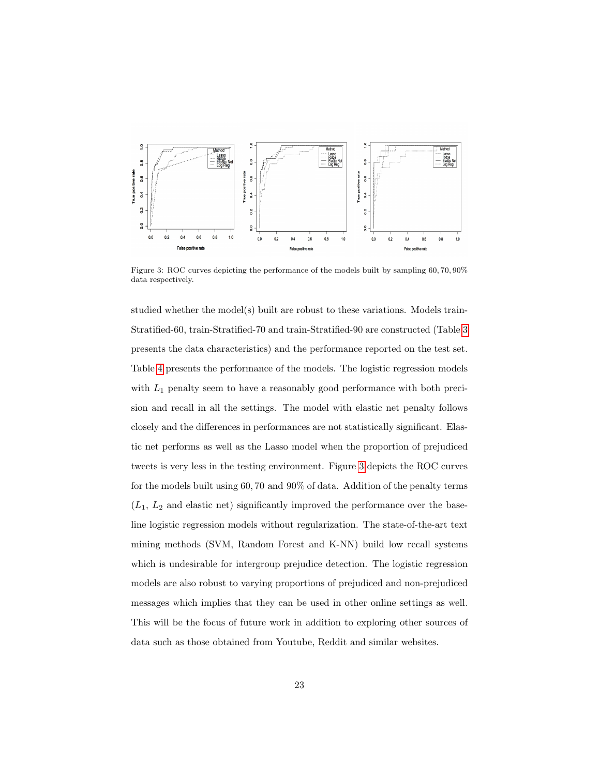

<span id="page-22-0"></span>Figure 3: ROC curves depicting the performance of the models built by sampling 60, 70, 90% data respectively.

studied whether the model(s) built are robust to these variations. Models train-Stratified-60, train-Stratified-70 and train-Stratified-90 are constructed (Table [3](#page-21-0) presents the data characteristics) and the performance reported on the test set. Table [4](#page-21-1) presents the performance of the models. The logistic regression models with  $L_1$  penalty seem to have a reasonably good performance with both precision and recall in all the settings. The model with elastic net penalty follows closely and the differences in performances are not statistically significant. Elastic net performs as well as the Lasso model when the proportion of prejudiced tweets is very less in the testing environment. Figure [3](#page-22-0) depicts the ROC curves for the models built using 60, 70 and 90% of data. Addition of the penalty terms  $(L_1, L_2, L_3)$  and elastic net) significantly improved the performance over the baseline logistic regression models without regularization. The state-of-the-art text mining methods (SVM, Random Forest and K-NN) build low recall systems which is undesirable for intergroup prejudice detection. The logistic regression models are also robust to varying proportions of prejudiced and non-prejudiced messages which implies that they can be used in other online settings as well. This will be the focus of future work in addition to exploring other sources of data such as those obtained from Youtube, Reddit and similar websites.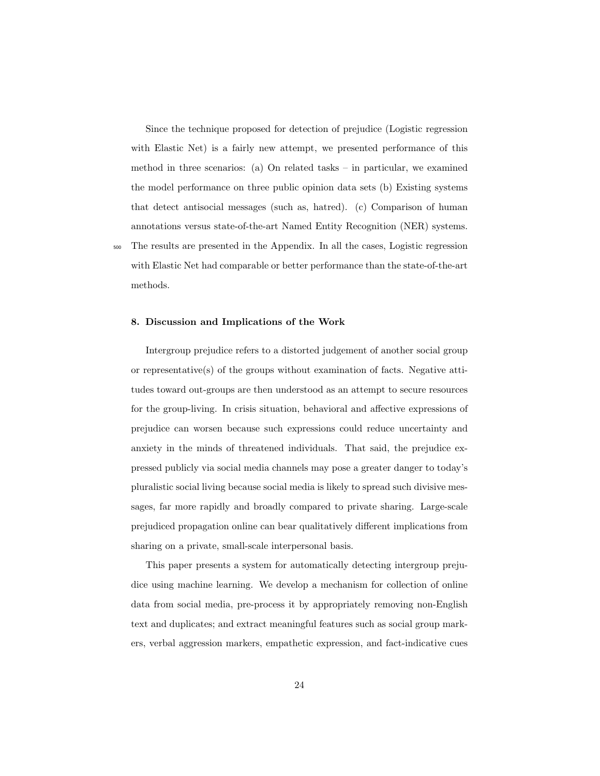Since the technique proposed for detection of prejudice (Logistic regression with Elastic Net) is a fairly new attempt, we presented performance of this method in three scenarios: (a) On related tasks – in particular, we examined the model performance on three public opinion data sets (b) Existing systems that detect antisocial messages (such as, hatred). (c) Comparison of human annotations versus state-of-the-art Named Entity Recognition (NER) systems. <sup>500</sup> The results are presented in the Appendix. In all the cases, Logistic regression with Elastic Net had comparable or better performance than the state-of-the-art methods.

#### <span id="page-23-0"></span>8. Discussion and Implications of the Work

Intergroup prejudice refers to a distorted judgement of another social group or representative(s) of the groups without examination of facts. Negative attitudes toward out-groups are then understood as an attempt to secure resources for the group-living. In crisis situation, behavioral and affective expressions of prejudice can worsen because such expressions could reduce uncertainty and anxiety in the minds of threatened individuals. That said, the prejudice expressed publicly via social media channels may pose a greater danger to today's pluralistic social living because social media is likely to spread such divisive messages, far more rapidly and broadly compared to private sharing. Large-scale prejudiced propagation online can bear qualitatively different implications from sharing on a private, small-scale interpersonal basis.

This paper presents a system for automatically detecting intergroup prejudice using machine learning. We develop a mechanism for collection of online data from social media, pre-process it by appropriately removing non-English text and duplicates; and extract meaningful features such as social group markers, verbal aggression markers, empathetic expression, and fact-indicative cues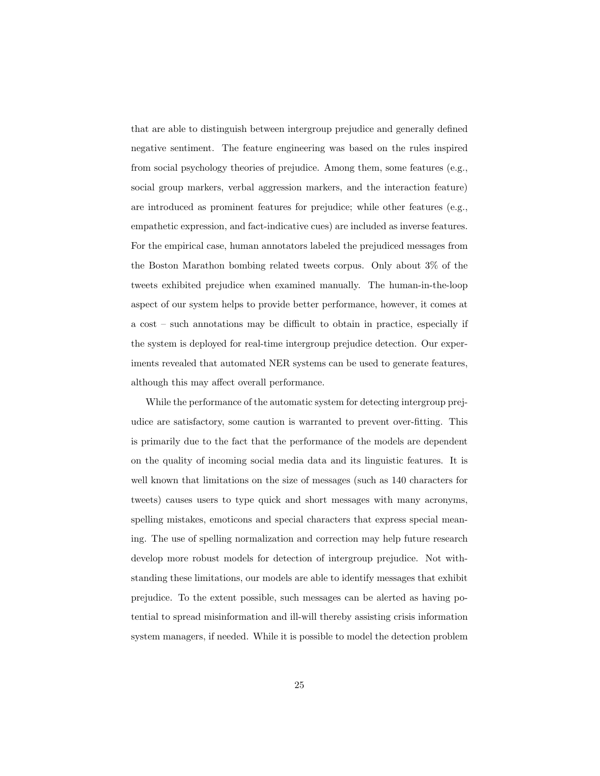that are able to distinguish between intergroup prejudice and generally defined negative sentiment. The feature engineering was based on the rules inspired from social psychology theories of prejudice. Among them, some features (e.g., social group markers, verbal aggression markers, and the interaction feature) are introduced as prominent features for prejudice; while other features (e.g., empathetic expression, and fact-indicative cues) are included as inverse features. For the empirical case, human annotators labeled the prejudiced messages from the Boston Marathon bombing related tweets corpus. Only about 3% of the tweets exhibited prejudice when examined manually. The human-in-the-loop aspect of our system helps to provide better performance, however, it comes at a cost – such annotations may be difficult to obtain in practice, especially if the system is deployed for real-time intergroup prejudice detection. Our experiments revealed that automated NER systems can be used to generate features, although this may affect overall performance.

While the performance of the automatic system for detecting intergroup prejudice are satisfactory, some caution is warranted to prevent over-fitting. This is primarily due to the fact that the performance of the models are dependent on the quality of incoming social media data and its linguistic features. It is well known that limitations on the size of messages (such as 140 characters for tweets) causes users to type quick and short messages with many acronyms, spelling mistakes, emoticons and special characters that express special meaning. The use of spelling normalization and correction may help future research develop more robust models for detection of intergroup prejudice. Not withstanding these limitations, our models are able to identify messages that exhibit prejudice. To the extent possible, such messages can be alerted as having potential to spread misinformation and ill-will thereby assisting crisis information system managers, if needed. While it is possible to model the detection problem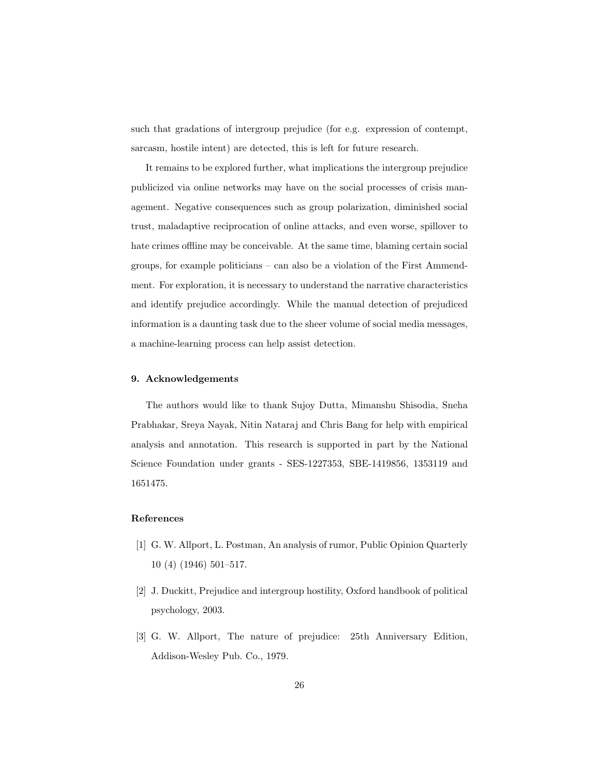such that gradations of intergroup prejudice (for e.g. expression of contempt, sarcasm, hostile intent) are detected, this is left for future research.

It remains to be explored further, what implications the intergroup prejudice publicized via online networks may have on the social processes of crisis management. Negative consequences such as group polarization, diminished social trust, maladaptive reciprocation of online attacks, and even worse, spillover to hate crimes offline may be conceivable. At the same time, blaming certain social groups, for example politicians – can also be a violation of the First Ammendment. For exploration, it is necessary to understand the narrative characteristics and identify prejudice accordingly. While the manual detection of prejudiced information is a daunting task due to the sheer volume of social media messages, a machine-learning process can help assist detection.

#### 9. Acknowledgements

The authors would like to thank Sujoy Dutta, Mimanshu Shisodia, Sneha Prabhakar, Sreya Nayak, Nitin Nataraj and Chris Bang for help with empirical analysis and annotation. This research is supported in part by the National Science Foundation under grants - SES-1227353, SBE-1419856, 1353119 and 1651475.

# References

- <span id="page-25-0"></span>[1] G. W. Allport, L. Postman, An analysis of rumor, Public Opinion Quarterly 10 (4) (1946) 501–517.
- <span id="page-25-1"></span>[2] J. Duckitt, Prejudice and intergroup hostility, Oxford handbook of political psychology, 2003.
- <span id="page-25-2"></span>[3] G. W. Allport, The nature of prejudice: 25th Anniversary Edition, Addison-Wesley Pub. Co., 1979.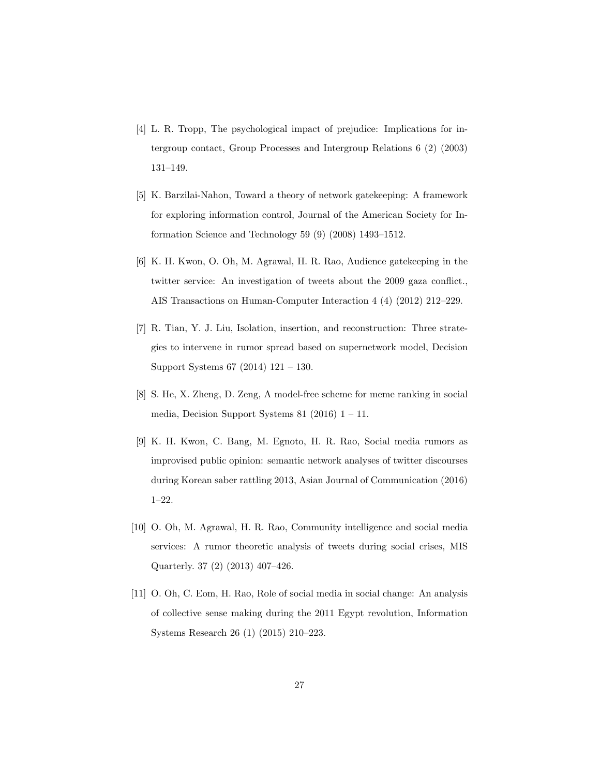- <span id="page-26-0"></span>[4] L. R. Tropp, The psychological impact of prejudice: Implications for intergroup contact, Group Processes and Intergroup Relations 6 (2) (2003) 131–149.
- <span id="page-26-1"></span>[5] K. Barzilai-Nahon, Toward a theory of network gatekeeping: A framework for exploring information control, Journal of the American Society for Information Science and Technology 59 (9) (2008) 1493–1512.
- <span id="page-26-2"></span>[6] K. H. Kwon, O. Oh, M. Agrawal, H. R. Rao, Audience gatekeeping in the twitter service: An investigation of tweets about the 2009 gaza conflict., AIS Transactions on Human-Computer Interaction 4 (4) (2012) 212–229.
- <span id="page-26-3"></span>[7] R. Tian, Y. J. Liu, Isolation, insertion, and reconstruction: Three strategies to intervene in rumor spread based on supernetwork model, Decision Support Systems 67 (2014) 121 – 130.
- <span id="page-26-4"></span>[8] S. He, X. Zheng, D. Zeng, A model-free scheme for meme ranking in social media, Decision Support Systems 81 (2016)  $1 - 11$ .
- <span id="page-26-5"></span>[9] K. H. Kwon, C. Bang, M. Egnoto, H. R. Rao, Social media rumors as improvised public opinion: semantic network analyses of twitter discourses during Korean saber rattling 2013, Asian Journal of Communication (2016) 1–22.
- <span id="page-26-6"></span>[10] O. Oh, M. Agrawal, H. R. Rao, Community intelligence and social media services: A rumor theoretic analysis of tweets during social crises, MIS Quarterly. 37 (2) (2013) 407–426.
- <span id="page-26-7"></span>[11] O. Oh, C. Eom, H. Rao, Role of social media in social change: An analysis of collective sense making during the 2011 Egypt revolution, Information Systems Research 26 (1) (2015) 210–223.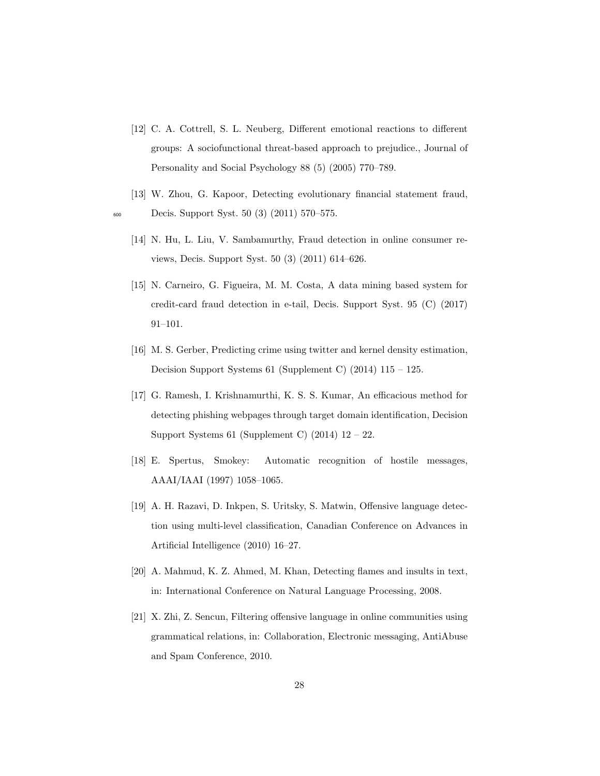- <span id="page-27-0"></span>[12] C. A. Cottrell, S. L. Neuberg, Different emotional reactions to different groups: A sociofunctional threat-based approach to prejudice., Journal of Personality and Social Psychology 88 (5) (2005) 770–789.
- <span id="page-27-9"></span><span id="page-27-8"></span><span id="page-27-7"></span><span id="page-27-6"></span><span id="page-27-5"></span><span id="page-27-4"></span><span id="page-27-3"></span><span id="page-27-2"></span><span id="page-27-1"></span>[13] W. Zhou, G. Kapoor, Detecting evolutionary financial statement fraud, <sup>600</sup> Decis. Support Syst. 50 (3) (2011) 570–575.
	- [14] N. Hu, L. Liu, V. Sambamurthy, Fraud detection in online consumer reviews, Decis. Support Syst. 50 (3) (2011) 614–626.
	- [15] N. Carneiro, G. Figueira, M. M. Costa, A data mining based system for credit-card fraud detection in e-tail, Decis. Support Syst. 95 (C) (2017) 91–101.
	- [16] M. S. Gerber, Predicting crime using twitter and kernel density estimation, Decision Support Systems 61 (Supplement C) (2014) 115 – 125.
	- [17] G. Ramesh, I. Krishnamurthi, K. S. S. Kumar, An efficacious method for detecting phishing webpages through target domain identification, Decision Support Systems 61 (Supplement C)  $(2014)$  12 – 22.
	- [18] E. Spertus, Smokey: Automatic recognition of hostile messages, AAAI/IAAI (1997) 1058–1065.
	- [19] A. H. Razavi, D. Inkpen, S. Uritsky, S. Matwin, Offensive language detection using multi-level classification, Canadian Conference on Advances in Artificial Intelligence (2010) 16–27.
	- [20] A. Mahmud, K. Z. Ahmed, M. Khan, Detecting flames and insults in text, in: International Conference on Natural Language Processing, 2008.
	- [21] X. Zhi, Z. Sencun, Filtering offensive language in online communities using grammatical relations, in: Collaboration, Electronic messaging, AntiAbuse and Spam Conference, 2010.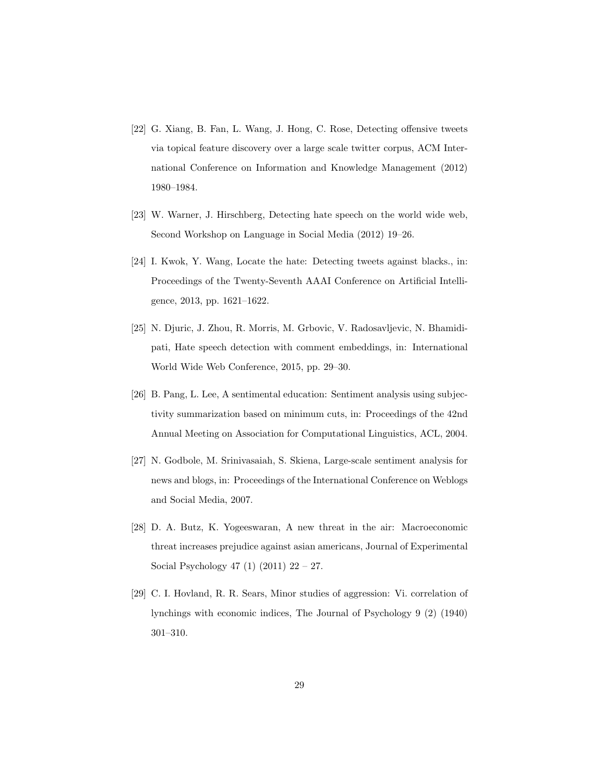- <span id="page-28-0"></span>[22] G. Xiang, B. Fan, L. Wang, J. Hong, C. Rose, Detecting offensive tweets via topical feature discovery over a large scale twitter corpus, ACM International Conference on Information and Knowledge Management (2012) 1980–1984.
- <span id="page-28-1"></span>[23] W. Warner, J. Hirschberg, Detecting hate speech on the world wide web, Second Workshop on Language in Social Media (2012) 19–26.
- <span id="page-28-2"></span>[24] I. Kwok, Y. Wang, Locate the hate: Detecting tweets against blacks., in: Proceedings of the Twenty-Seventh AAAI Conference on Artificial Intelligence, 2013, pp. 1621–1622.
- <span id="page-28-3"></span>[25] N. Djuric, J. Zhou, R. Morris, M. Grbovic, V. Radosavljevic, N. Bhamidipati, Hate speech detection with comment embeddings, in: International World Wide Web Conference, 2015, pp. 29–30.
- <span id="page-28-4"></span>[26] B. Pang, L. Lee, A sentimental education: Sentiment analysis using subjectivity summarization based on minimum cuts, in: Proceedings of the 42nd Annual Meeting on Association for Computational Linguistics, ACL, 2004.
- <span id="page-28-5"></span>[27] N. Godbole, M. Srinivasaiah, S. Skiena, Large-scale sentiment analysis for news and blogs, in: Proceedings of the International Conference on Weblogs and Social Media, 2007.
- <span id="page-28-6"></span>[28] D. A. Butz, K. Yogeeswaran, A new threat in the air: Macroeconomic threat increases prejudice against asian americans, Journal of Experimental Social Psychology 47 (1) (2011) 22 – 27.
- <span id="page-28-7"></span>[29] C. I. Hovland, R. R. Sears, Minor studies of aggression: Vi. correlation of lynchings with economic indices, The Journal of Psychology 9 (2) (1940) 301–310.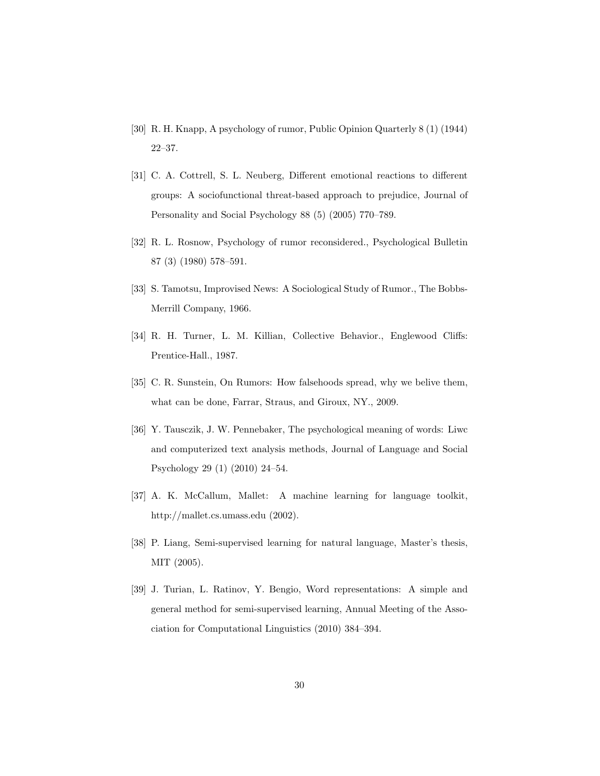- <span id="page-29-0"></span>[30] R. H. Knapp, A psychology of rumor, Public Opinion Quarterly 8 (1) (1944) 22–37.
- <span id="page-29-1"></span>[31] C. A. Cottrell, S. L. Neuberg, Different emotional reactions to different groups: A sociofunctional threat-based approach to prejudice, Journal of Personality and Social Psychology 88 (5) (2005) 770–789.
- <span id="page-29-2"></span>[32] R. L. Rosnow, Psychology of rumor reconsidered., Psychological Bulletin 87 (3) (1980) 578–591.
- <span id="page-29-3"></span>[33] S. Tamotsu, Improvised News: A Sociological Study of Rumor., The Bobbs-Merrill Company, 1966.
- <span id="page-29-4"></span>[34] R. H. Turner, L. M. Killian, Collective Behavior., Englewood Cliffs: Prentice-Hall., 1987.
- <span id="page-29-5"></span>[35] C. R. Sunstein, On Rumors: How falsehoods spread, why we belive them, what can be done, Farrar, Straus, and Giroux, NY., 2009.
- <span id="page-29-6"></span>[36] Y. Tausczik, J. W. Pennebaker, The psychological meaning of words: Liwc and computerized text analysis methods, Journal of Language and Social Psychology 29 (1) (2010) 24–54.
- <span id="page-29-7"></span>[37] A. K. McCallum, Mallet: A machine learning for language toolkit, http://mallet.cs.umass.edu (2002).
- <span id="page-29-8"></span>[38] P. Liang, Semi-supervised learning for natural language, Master's thesis, MIT (2005).
- <span id="page-29-9"></span>[39] J. Turian, L. Ratinov, Y. Bengio, Word representations: A simple and general method for semi-supervised learning, Annual Meeting of the Association for Computational Linguistics (2010) 384–394.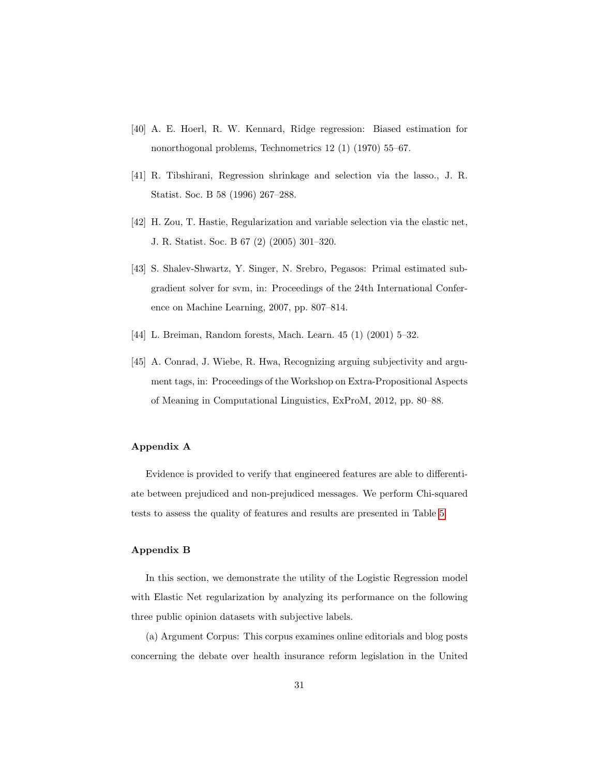- <span id="page-30-0"></span>[40] A. E. Hoerl, R. W. Kennard, Ridge regression: Biased estimation for nonorthogonal problems, Technometrics 12 (1) (1970) 55–67.
- <span id="page-30-1"></span>[41] R. Tibshirani, Regression shrinkage and selection via the lasso., J. R. Statist. Soc. B 58 (1996) 267–288.
- <span id="page-30-2"></span>[42] H. Zou, T. Hastie, Regularization and variable selection via the elastic net, J. R. Statist. Soc. B 67 (2) (2005) 301–320.
- <span id="page-30-3"></span>[43] S. Shalev-Shwartz, Y. Singer, N. Srebro, Pegasos: Primal estimated subgradient solver for svm, in: Proceedings of the 24th International Conference on Machine Learning, 2007, pp. 807–814.
- <span id="page-30-4"></span>[44] L. Breiman, Random forests, Mach. Learn. 45 (1) (2001) 5–32.
- <span id="page-30-5"></span>[45] A. Conrad, J. Wiebe, R. Hwa, Recognizing arguing subjectivity and argument tags, in: Proceedings of the Workshop on Extra-Propositional Aspects of Meaning in Computational Linguistics, ExProM, 2012, pp. 80–88.

## Appendix A

Evidence is provided to verify that engineered features are able to differentiate between prejudiced and non-prejudiced messages. We perform Chi-squared tests to assess the quality of features and results are presented in Table [5.](#page-31-0)

## Appendix B

In this section, we demonstrate the utility of the Logistic Regression model with Elastic Net regularization by analyzing its performance on the following three public opinion datasets with subjective labels.

(a) Argument Corpus: This corpus examines online editorials and blog posts concerning the debate over health insurance reform legislation in the United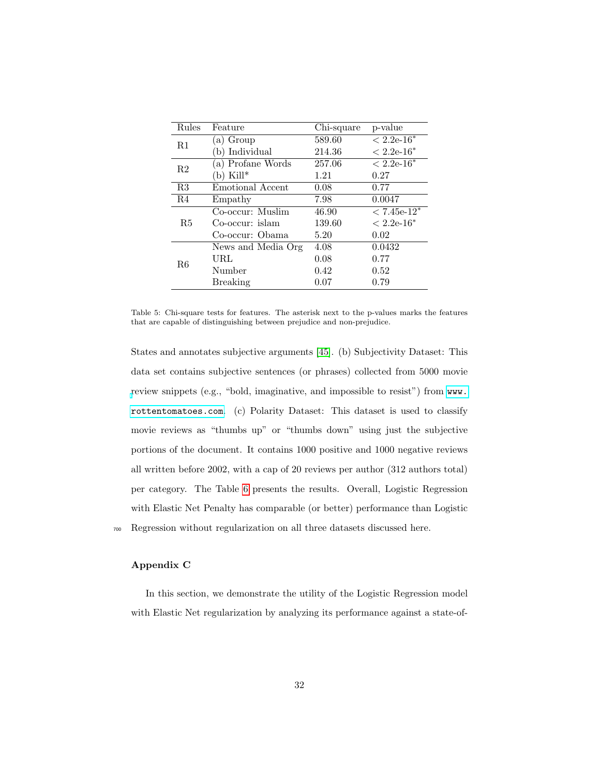| Rules | Feature            | Chi-square | p-value       |
|-------|--------------------|------------|---------------|
| R1    | (a) Group          | 589.60     | $< 2.2e-16*$  |
|       | b) Individual      | 214.36     | $< 2.2e-16*$  |
| R2    | (a) Profane Words  | 257.06     | $< 2.2e-16^*$ |
|       | $(b)$ Kill*        | 1.21       | 0.27          |
| R3    | Emotional Accent   | 0.08       | 0.77          |
| R4    | Empathy            | 7.98       | 0.0047        |
|       | Co-occur: Muslim   | 46.90      | $< 7.45e-12*$ |
| R5    | Co-occur: islam    | 139.60     | $< 2.2e-16^*$ |
|       | Co-occur: Obama    | 5.20       | 0.02          |
| R6    | News and Media Org | 4.08       | 0.0432        |
|       | URL                | 0.08       | 0.77          |
|       | Number             | 0.42       | 0.52          |
|       | Breaking           | 0.07       | 0.79          |

<span id="page-31-0"></span>Table 5: Chi-square tests for features. The asterisk next to the p-values marks the features that are capable of distinguishing between prejudice and non-prejudice.

States and annotates subjective arguments [\[45\]](#page-30-5). (b) Subjectivity Dataset: This data set contains subjective sentences (or phrases) collected from 5000 movie [r](www.rottentomatoes.com)eview snippets (e.g., "bold, imaginative, and impossible to resist") from [www.](www.rottentomatoes.com) [rottentomatoes.com](www.rottentomatoes.com). (c) Polarity Dataset: This dataset is used to classify movie reviews as "thumbs up" or "thumbs down" using just the subjective portions of the document. It contains 1000 positive and 1000 negative reviews all written before 2002, with a cap of 20 reviews per author (312 authors total) per category. The Table [6](#page-32-0) presents the results. Overall, Logistic Regression with Elastic Net Penalty has comparable (or better) performance than Logistic <sup>700</sup> Regression without regularization on all three datasets discussed here.

# Appendix C

In this section, we demonstrate the utility of the Logistic Regression model with Elastic Net regularization by analyzing its performance against a state-of-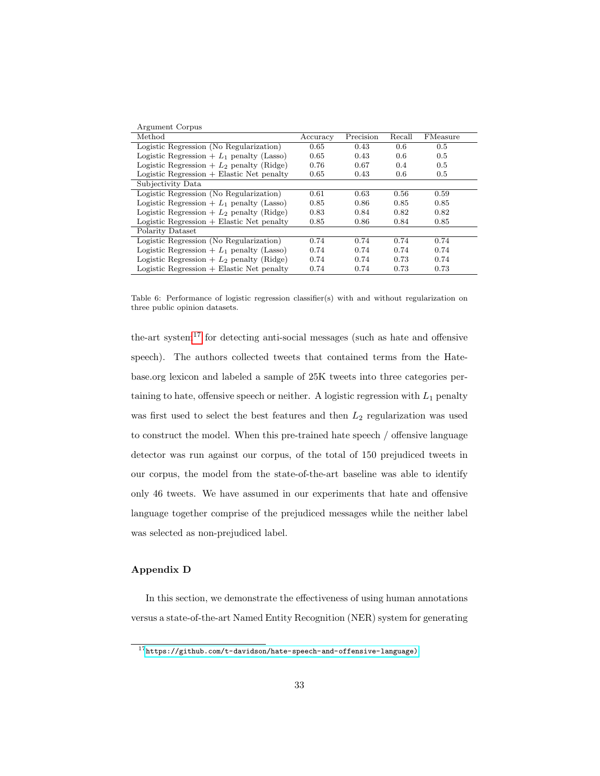| Argument Corpus                             |          |           |        |                 |
|---------------------------------------------|----------|-----------|--------|-----------------|
| Method                                      | Accuracy | Precision | Recall | <b>FMeasure</b> |
| Logistic Regression (No Regularization)     | 0.65     | 0.43      | 0.6    | 0.5             |
| Logistic Regression + $L_1$ penalty (Lasso) | 0.65     | 0.43      | 0.6    | 0.5             |
| Logistic Regression + $L_2$ penalty (Ridge) | 0.76     | 0.67      | 0.4    | 0.5             |
| $Logistic Regression + Elastic Net penalty$ | 0.65     | 0.43      | 0.6    | 0.5             |
| Subjectivity Data                           |          |           |        |                 |
| Logistic Regression (No Regularization)     | 0.61     | 0.63      | 0.56   | 0.59            |
| Logistic Regression + $L_1$ penalty (Lasso) | 0.85     | 0.86      | 0.85   | 0.85            |
| Logistic Regression $+ L_2$ penalty (Ridge) | 0.83     | 0.84      | 0.82   | 0.82            |
| $Logistic Regression + Elastic Net penalty$ | 0.85     | 0.86      | 0.84   | 0.85            |
| Polarity Dataset                            |          |           |        |                 |
| Logistic Regression (No Regularization)     | 0.74     | 0.74      | 0.74   | 0.74            |
| Logistic Regression + $L_1$ penalty (Lasso) | 0.74     | 0.74      | 0.74   | 0.74            |
| Logistic Regression + $L_2$ penalty (Ridge) | 0.74     | 0.74      | 0.73   | 0.74            |
| Logistic Regression $+$ Elastic Net penalty | 0.74     | 0.74      | 0.73   | 0.73            |

<span id="page-32-0"></span>Table 6: Performance of logistic regression classifier(s) with and without regularization on three public opinion datasets.

the-art system<sup>[17](#page-0-0)</sup> for detecting anti-social messages (such as hate and offensive speech). The authors collected tweets that contained terms from the Hatebase.org lexicon and labeled a sample of 25K tweets into three categories pertaining to hate, offensive speech or neither. A logistic regression with  $L_1$  penalty was first used to select the best features and then  $L_2$  regularization was used to construct the model. When this pre-trained hate speech / offensive language detector was run against our corpus, of the total of 150 prejudiced tweets in our corpus, the model from the state-of-the-art baseline was able to identify only 46 tweets. We have assumed in our experiments that hate and offensive language together comprise of the prejudiced messages while the neither label was selected as non-prejudiced label.

## Appendix D

In this section, we demonstrate the effectiveness of using human annotations versus a state-of-the-art Named Entity Recognition (NER) system for generating

 $\frac{17 \text{https://github.com/t-davidson/hate-speech-and-offensive-language)}}{17}$  $\frac{17 \text{https://github.com/t-davidson/hate-speech-and-offensive-language)}}{17}$  $\frac{17 \text{https://github.com/t-davidson/hate-speech-and-offensive-language)}}{17}$